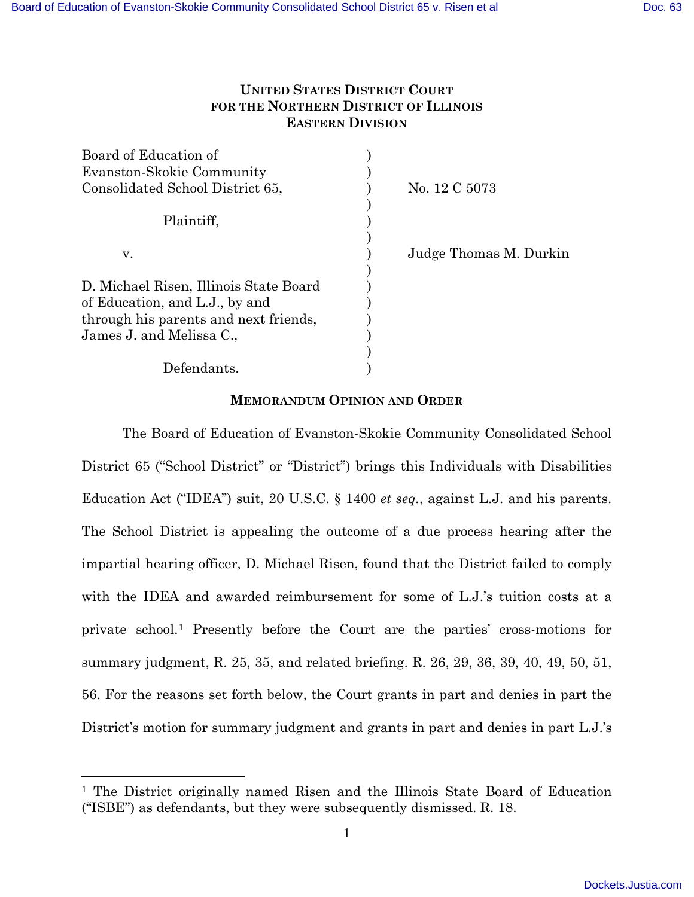# **UNITED STATES DISTRICT COURT FOR THE NORTHERN DISTRICT OF ILLINOIS EASTERN DIVISION**

| No. 12 C 5073          |
|------------------------|
|                        |
|                        |
|                        |
| Judge Thomas M. Durkin |
|                        |
|                        |
|                        |
|                        |
|                        |
|                        |
|                        |
|                        |

## **MEMORANDUM OPINION AND ORDER**

The Board of Education of Evanston-Skokie Community Consolidated School District 65 ("School District" or "District") brings this Individuals with Disabilities Education Act ("IDEA") suit, 20 U.S.C. § 1400 *et seq.*, against L.J. and his parents. The School District is appealing the outcome of a due process hearing after the impartial hearing officer, D. Michael Risen, found that the District failed to comply with the IDEA and awarded reimbursement for some of L.J.'s tuition costs at a private school.[1](#page-0-0) Presently before the Court are the parties' cross-motions for summary judgment, R. 25, 35, and related briefing. R. 26, 29, 36, 39, 40, 49, 50, 51, 56. For the reasons set forth below, the Court grants in part and denies in part the District's motion for summary judgment and grants in part and denies in part L.J.'s

<u>.</u>

<span id="page-0-0"></span><sup>1</sup> The District originally named Risen and the Illinois State Board of Education ("ISBE") as defendants, but they were subsequently dismissed. R. 18.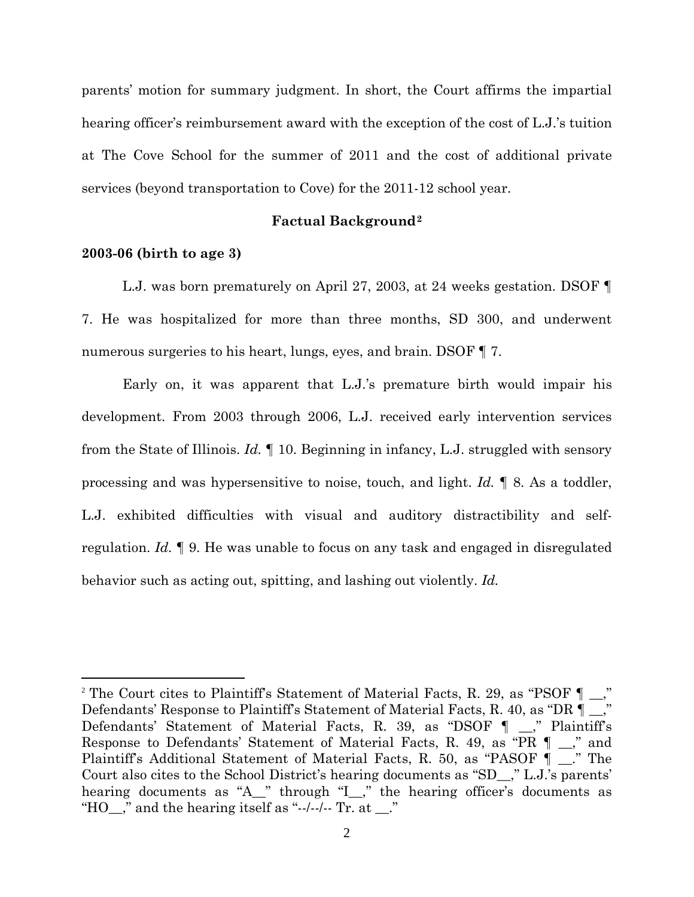parents' motion for summary judgment. In short, the Court affirms the impartial hearing officer's reimbursement award with the exception of the cost of L.J.'s tuition at The Cove School for the summer of 2011 and the cost of additional private services (beyond transportation to Cove) for the 2011-12 school year.

### **Factual Background[2](#page-1-0)**

#### **2003-06 (birth to age 3)**

<u>.</u>

L.J. was born prematurely on April 27, 2003, at 24 weeks gestation. DSOF ¶ 7. He was hospitalized for more than three months, SD 300, and underwent numerous surgeries to his heart, lungs, eyes, and brain. DSOF  $\P$  7.

Early on, it was apparent that L.J.'s premature birth would impair his development. From 2003 through 2006, L.J. received early intervention services from the State of Illinois. *Id.* ¶ 10. Beginning in infancy, L.J. struggled with sensory processing and was hypersensitive to noise, touch, and light. *Id.* ¶ 8. As a toddler, L.J. exhibited difficulties with visual and auditory distractibility and selfregulation. *Id.* ¶ 9. He was unable to focus on any task and engaged in disregulated behavior such as acting out, spitting, and lashing out violently. *Id.* 

<span id="page-1-0"></span><sup>&</sup>lt;sup>2</sup> The Court cites to Plaintiff's Statement of Material Facts, R. 29, as "PSOF  $\P$ Defendants' Response to Plaintiff's Statement of Material Facts, R. 40, as "DR ¶ \_\_," Defendants' Statement of Material Facts, R. 39, as "DSOF ¶ \_\_," Plaintiff's Response to Defendants' Statement of Material Facts, R. 49, as "PR ¶ \_\_," and Plaintiff's Additional Statement of Material Facts, R. 50, as "PASOF ¶ \_\_." The Court also cites to the School District's hearing documents as "SD\_\_," L.J.'s parents' hearing documents as "A\_" through "I\_," the hearing officer's documents as "HO\_," and the hearing itself as "--/--/--  $\text{Tr. at }$ ..."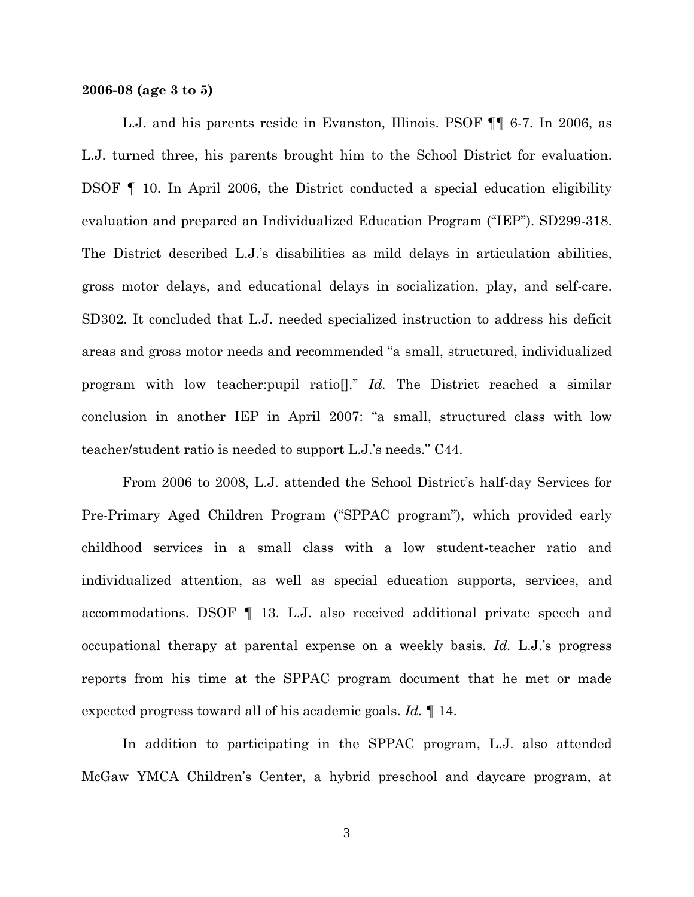#### **2006-08 (age 3 to 5)**

L.J. and his parents reside in Evanston, Illinois. PSOF ¶¶ 6-7. In 2006, as L.J. turned three, his parents brought him to the School District for evaluation. DSOF ¶ 10. In April 2006, the District conducted a special education eligibility evaluation and prepared an Individualized Education Program ("IEP"). SD299-318. The District described L.J.'s disabilities as mild delays in articulation abilities, gross motor delays, and educational delays in socialization, play, and self-care. SD302. It concluded that L.J. needed specialized instruction to address his deficit areas and gross motor needs and recommended "a small, structured, individualized program with low teacher:pupil ratio[]." *Id.* The District reached a similar conclusion in another IEP in April 2007: "a small, structured class with low teacher/student ratio is needed to support L.J.'s needs." C44.

From 2006 to 2008, L.J. attended the School District's half-day Services for Pre-Primary Aged Children Program ("SPPAC program"), which provided early childhood services in a small class with a low student-teacher ratio and individualized attention, as well as special education supports, services, and accommodations. DSOF ¶ 13. L.J. also received additional private speech and occupational therapy at parental expense on a weekly basis. *Id.* L.J.'s progress reports from his time at the SPPAC program document that he met or made expected progress toward all of his academic goals. *Id.* ¶ 14.

In addition to participating in the SPPAC program, L.J. also attended McGaw YMCA Children's Center, a hybrid preschool and daycare program, at

3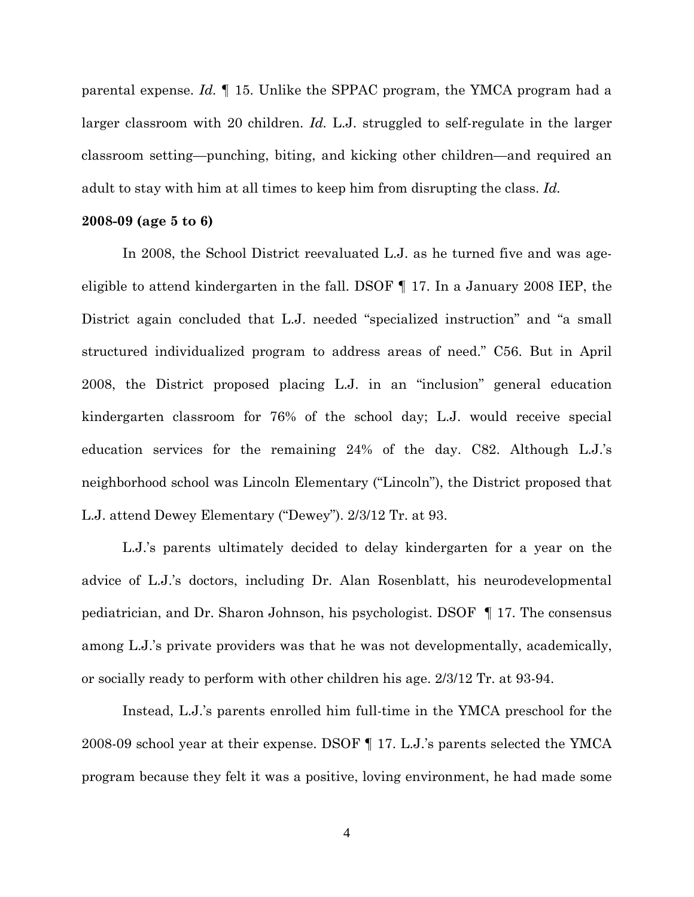parental expense. *Id.* ¶ 15. Unlike the SPPAC program, the YMCA program had a larger classroom with 20 children. *Id.* L.J. struggled to self-regulate in the larger classroom setting—punching, biting, and kicking other children—and required an adult to stay with him at all times to keep him from disrupting the class. *Id.*

### **2008-09 (age 5 to 6)**

In 2008, the School District reevaluated L.J. as he turned five and was ageeligible to attend kindergarten in the fall. DSOF ¶ 17. In a January 2008 IEP, the District again concluded that L.J. needed "specialized instruction" and "a small structured individualized program to address areas of need." C56. But in April 2008, the District proposed placing L.J. in an "inclusion" general education kindergarten classroom for 76% of the school day; L.J. would receive special education services for the remaining 24% of the day. C82. Although L.J.'s neighborhood school was Lincoln Elementary ("Lincoln"), the District proposed that L.J. attend Dewey Elementary ("Dewey"). 2/3/12 Tr. at 93.

L.J.'s parents ultimately decided to delay kindergarten for a year on the advice of L.J.'s doctors, including Dr. Alan Rosenblatt, his neurodevelopmental pediatrician, and Dr. Sharon Johnson, his psychologist. DSOF ¶ 17. The consensus among L.J.'s private providers was that he was not developmentally, academically, or socially ready to perform with other children his age. 2/3/12 Tr. at 93-94.

Instead, L.J.'s parents enrolled him full-time in the YMCA preschool for the 2008-09 school year at their expense. DSOF ¶ 17. L.J.'s parents selected the YMCA program because they felt it was a positive, loving environment, he had made some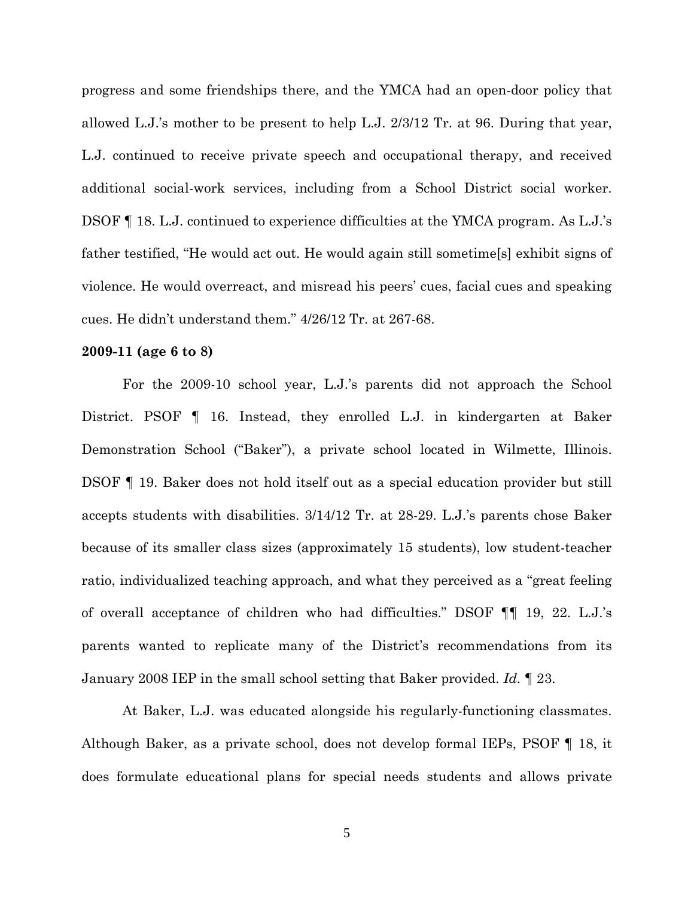progress and some friendships there, and the YMCA had an open-door policy that allowed L.J.'s mother to be present to help L.J. 2/3/12 Tr. at 96. During that year, L.J. continued to receive private speech and occupational therapy, and received additional social-work services, including from a School District social worker. DSOF ¶ 18. L.J. continued to experience difficulties at the YMCA program. As L.J.'s father testified, "He would act out. He would again still sometime[s] exhibit signs of violence. He would overreact, and misread his peers' cues, facial cues and speaking cues. He didn't understand them." 4/26/12 Tr. at 267-68.

## **2009-11 (age 6 to 8)**

For the 2009-10 school year, L.J.'s parents did not approach the School District. PSOF ¶ 16. Instead, they enrolled L.J. in kindergarten at Baker Demonstration School ("Baker"), a private school located in Wilmette, Illinois. DSOF ¶ 19. Baker does not hold itself out as a special education provider but still accepts students with disabilities. 3/14/12 Tr. at 28-29. L.J.'s parents chose Baker because of its smaller class sizes (approximately 15 students), low student-teacher ratio, individualized teaching approach, and what they perceived as a "great feeling of overall acceptance of children who had difficulties." DSOF ¶¶ 19, 22. L.J.'s parents wanted to replicate many of the District's recommendations from its January 2008 IEP in the small school setting that Baker provided. *Id.* ¶ 23.

At Baker, L.J. was educated alongside his regularly-functioning classmates. Although Baker, as a private school, does not develop formal IEPs, PSOF ¶ 18, it does formulate educational plans for special needs students and allows private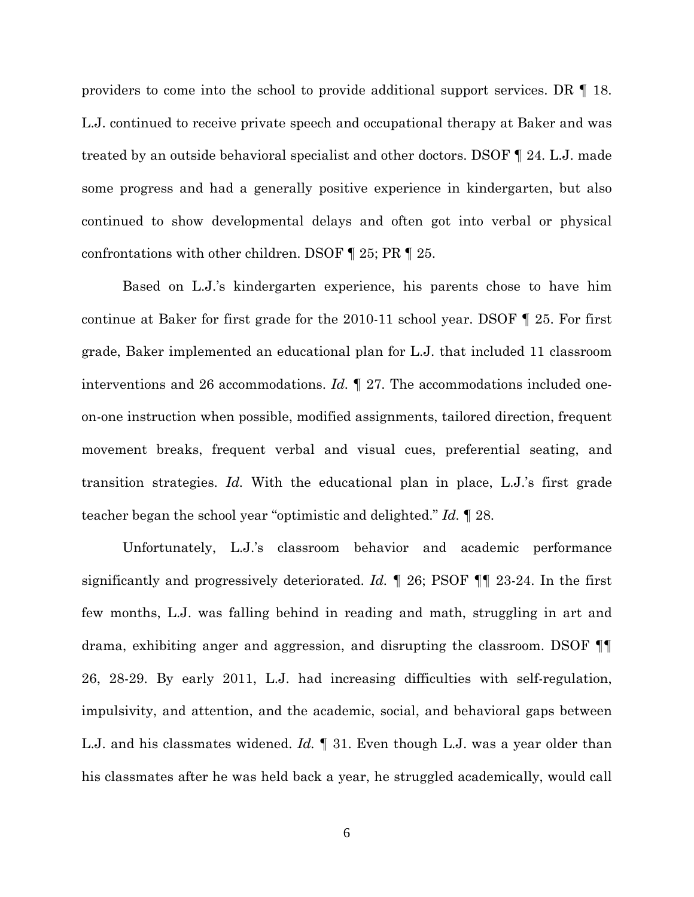providers to come into the school to provide additional support services. DR ¶ 18. L.J. continued to receive private speech and occupational therapy at Baker and was treated by an outside behavioral specialist and other doctors. DSOF ¶ 24. L.J. made some progress and had a generally positive experience in kindergarten, but also continued to show developmental delays and often got into verbal or physical confrontations with other children. DSOF ¶ 25; PR ¶ 25.

Based on L.J.'s kindergarten experience, his parents chose to have him continue at Baker for first grade for the 2010-11 school year. DSOF ¶ 25. For first grade, Baker implemented an educational plan for L.J. that included 11 classroom interventions and 26 accommodations. *Id.* ¶ 27. The accommodations included oneon-one instruction when possible, modified assignments, tailored direction, frequent movement breaks, frequent verbal and visual cues, preferential seating, and transition strategies. *Id.* With the educational plan in place, L.J.'s first grade teacher began the school year "optimistic and delighted." *Id.* ¶ 28.

Unfortunately, L.J.'s classroom behavior and academic performance significantly and progressively deteriorated. *Id.* ¶ 26; PSOF ¶¶ 23-24. In the first few months, L.J. was falling behind in reading and math, struggling in art and drama, exhibiting anger and aggression, and disrupting the classroom. DSOF ¶¶ 26, 28-29. By early 2011, L.J. had increasing difficulties with self-regulation, impulsivity, and attention, and the academic, social, and behavioral gaps between L.J. and his classmates widened. *Id.* ¶ 31. Even though L.J. was a year older than his classmates after he was held back a year, he struggled academically, would call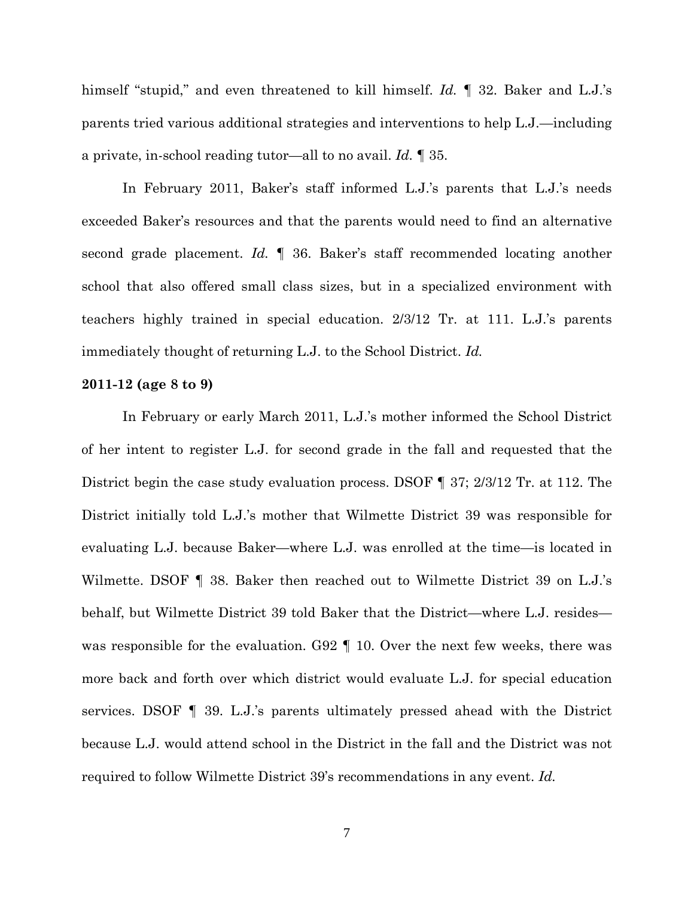himself "stupid," and even threatened to kill himself. *Id.* ¶ 32. Baker and L.J.'s parents tried various additional strategies and interventions to help L.J.—including a private, in-school reading tutor—all to no avail. *Id.* ¶ 35.

In February 2011, Baker's staff informed L.J.'s parents that L.J.'s needs exceeded Baker's resources and that the parents would need to find an alternative second grade placement. *Id.* ¶ 36. Baker's staff recommended locating another school that also offered small class sizes, but in a specialized environment with teachers highly trained in special education. 2/3/12 Tr. at 111. L.J.'s parents immediately thought of returning L.J. to the School District. *Id.*

#### **2011-12 (age 8 to 9)**

In February or early March 2011, L.J.'s mother informed the School District of her intent to register L.J. for second grade in the fall and requested that the District begin the case study evaluation process. DSOF ¶ 37; 2/3/12 Tr. at 112. The District initially told L.J.'s mother that Wilmette District 39 was responsible for evaluating L.J. because Baker—where L.J. was enrolled at the time—is located in Wilmette. DSOF  $\P$  38. Baker then reached out to Wilmette District 39 on L.J.'s behalf, but Wilmette District 39 told Baker that the District—where L.J. resides was responsible for the evaluation. G92 ¶ 10. Over the next few weeks, there was more back and forth over which district would evaluate L.J. for special education services. DSOF ¶ 39. L.J.'s parents ultimately pressed ahead with the District because L.J. would attend school in the District in the fall and the District was not required to follow Wilmette District 39's recommendations in any event. *Id.*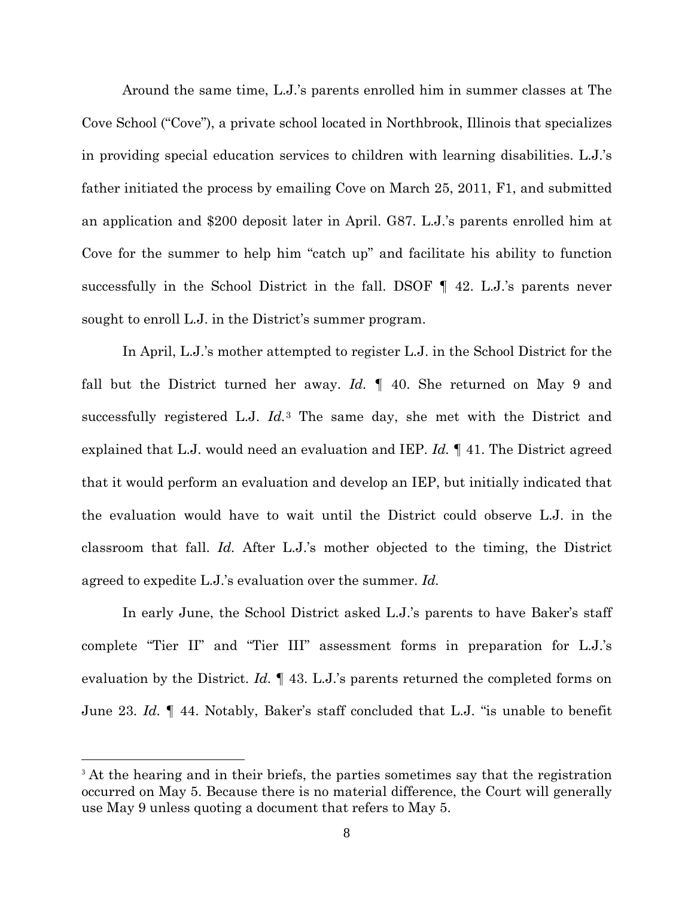Around the same time, L.J.'s parents enrolled him in summer classes at The Cove School ("Cove"), a private school located in Northbrook, Illinois that specializes in providing special education services to children with learning disabilities. L.J.'s father initiated the process by emailing Cove on March 25, 2011, F1, and submitted an application and \$200 deposit later in April. G87. L.J.'s parents enrolled him at Cove for the summer to help him "catch up" and facilitate his ability to function successfully in the School District in the fall. DSOF ¶ 42. L.J.'s parents never sought to enroll L.J. in the District's summer program.

In April, L.J.'s mother attempted to register L.J. in the School District for the fall but the District turned her away. *Id.* ¶ 40. She returned on May 9 and successfully registered L.J. *Id.*[3](#page-7-0) The same day, she met with the District and explained that L.J. would need an evaluation and IEP. *Id.* ¶ 41. The District agreed that it would perform an evaluation and develop an IEP, but initially indicated that the evaluation would have to wait until the District could observe L.J. in the classroom that fall. *Id.* After L.J.'s mother objected to the timing, the District agreed to expedite L.J.'s evaluation over the summer. *Id.*

In early June, the School District asked L.J.'s parents to have Baker's staff complete "Tier II" and "Tier III" assessment forms in preparation for L.J.'s evaluation by the District. *Id.* ¶ 43. L.J.'s parents returned the completed forms on June 23. *Id.* ¶ 44. Notably, Baker's staff concluded that L.J. "is unable to benefit

<u>.</u>

<span id="page-7-0"></span><sup>&</sup>lt;sup>3</sup> At the hearing and in their briefs, the parties sometimes say that the registration occurred on May 5. Because there is no material difference, the Court will generally use May 9 unless quoting a document that refers to May 5.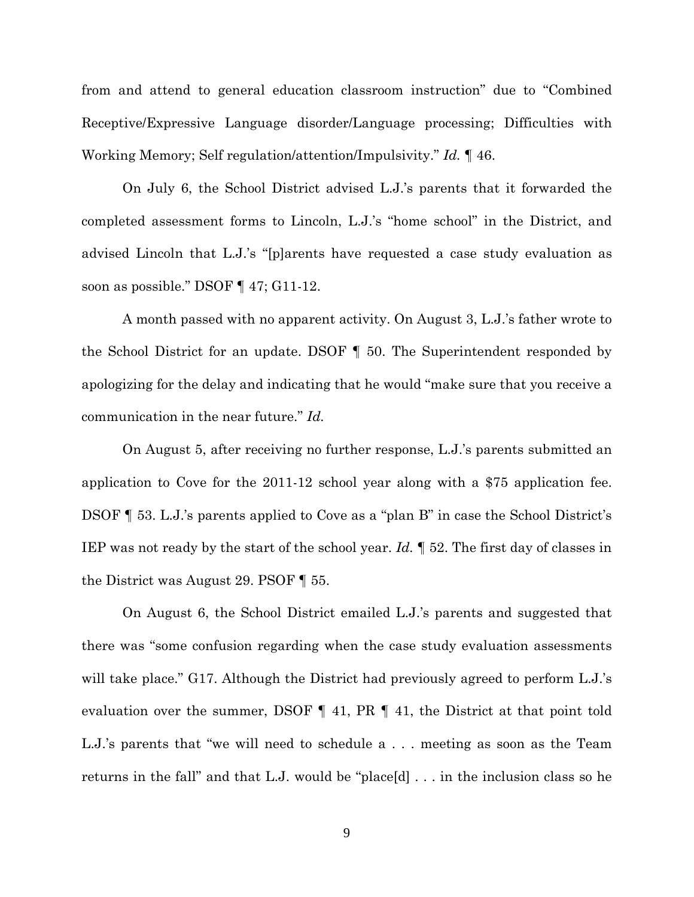from and attend to general education classroom instruction" due to "Combined Receptive/Expressive Language disorder/Language processing; Difficulties with Working Memory; Self regulation/attention/Impulsivity." *Id.* ¶ 46.

On July 6, the School District advised L.J.'s parents that it forwarded the completed assessment forms to Lincoln, L.J.'s "home school" in the District, and advised Lincoln that L.J.'s "[p]arents have requested a case study evaluation as soon as possible." DSOF ¶ 47; G11-12.

A month passed with no apparent activity. On August 3, L.J.'s father wrote to the School District for an update. DSOF ¶ 50. The Superintendent responded by apologizing for the delay and indicating that he would "make sure that you receive a communication in the near future." *Id.*

On August 5, after receiving no further response, L.J.'s parents submitted an application to Cove for the 2011-12 school year along with a \$75 application fee. DSOF ¶ 53. L.J.'s parents applied to Cove as a "plan B" in case the School District's IEP was not ready by the start of the school year. *Id.* ¶ 52. The first day of classes in the District was August 29. PSOF ¶ 55.

On August 6, the School District emailed L.J.'s parents and suggested that there was "some confusion regarding when the case study evaluation assessments will take place." G17. Although the District had previously agreed to perform L.J.'s evaluation over the summer, DSOF ¶ 41, PR ¶ 41, the District at that point told L.J.'s parents that "we will need to schedule a . . . meeting as soon as the Team returns in the fall" and that L.J. would be "place[d] . . . in the inclusion class so he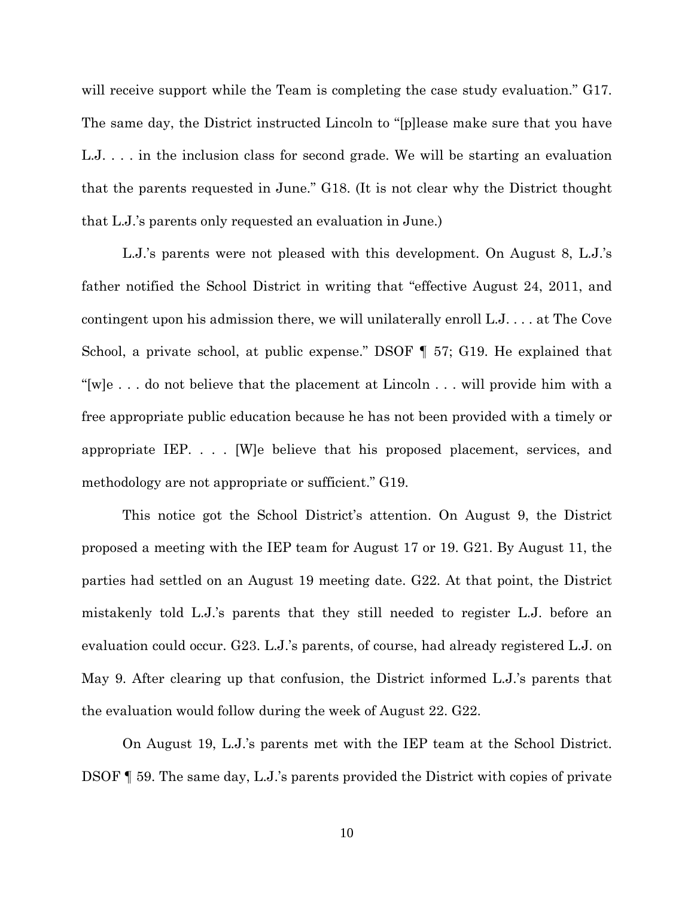will receive support while the Team is completing the case study evaluation." G17. The same day, the District instructed Lincoln to "[p]lease make sure that you have L.J. . . . in the inclusion class for second grade. We will be starting an evaluation that the parents requested in June." G18. (It is not clear why the District thought that L.J.'s parents only requested an evaluation in June.)

L.J.'s parents were not pleased with this development. On August 8, L.J.'s father notified the School District in writing that "effective August 24, 2011, and contingent upon his admission there, we will unilaterally enroll L.J. . . . at The Cove School, a private school, at public expense." DSOF ¶ 57; G19. He explained that "[w]e . . . do not believe that the placement at Lincoln . . . will provide him with a free appropriate public education because he has not been provided with a timely or appropriate IEP. . . . [W]e believe that his proposed placement, services, and methodology are not appropriate or sufficient." G19.

This notice got the School District's attention. On August 9, the District proposed a meeting with the IEP team for August 17 or 19. G21. By August 11, the parties had settled on an August 19 meeting date. G22. At that point, the District mistakenly told L.J.'s parents that they still needed to register L.J. before an evaluation could occur. G23. L.J.'s parents, of course, had already registered L.J. on May 9. After clearing up that confusion, the District informed L.J.'s parents that the evaluation would follow during the week of August 22. G22.

On August 19, L.J.'s parents met with the IEP team at the School District. DSOF ¶ 59. The same day, L.J.'s parents provided the District with copies of private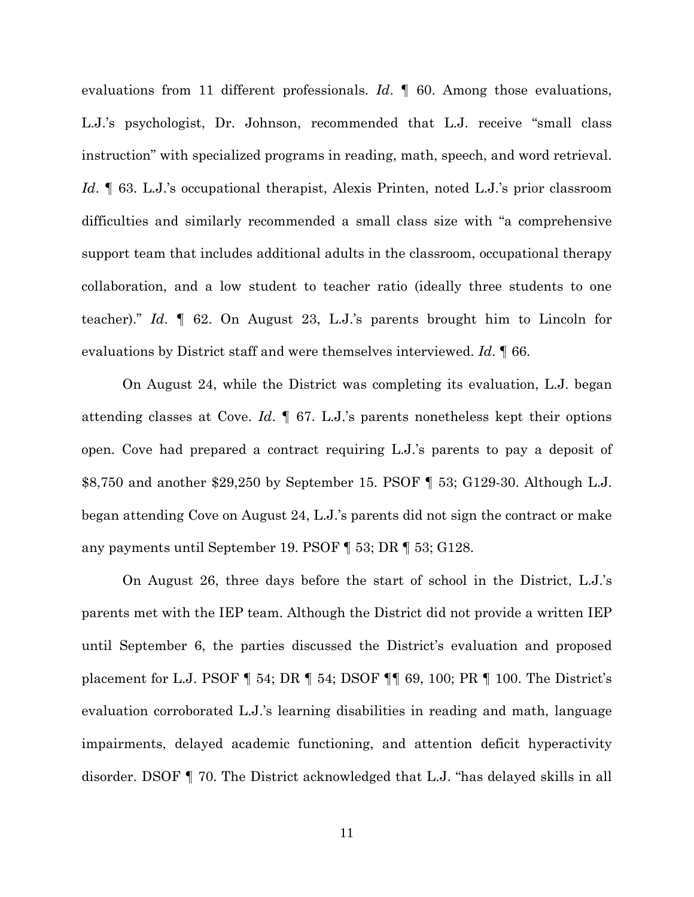evaluations from 11 different professionals. *Id.* 9 60. Among those evaluations, L.J.'s psychologist, Dr. Johnson, recommended that L.J. receive "small class instruction" with specialized programs in reading, math, speech, and word retrieval. *Id*. ¶ 63. L.J.'s occupational therapist, Alexis Printen, noted L.J.'s prior classroom difficulties and similarly recommended a small class size with "a comprehensive support team that includes additional adults in the classroom, occupational therapy collaboration, and a low student to teacher ratio (ideally three students to one teacher)." *Id*. ¶ 62. On August 23, L.J.'s parents brought him to Lincoln for evaluations by District staff and were themselves interviewed. *Id*. ¶ 66.

On August 24, while the District was completing its evaluation, L.J. began attending classes at Cove. *Id*. ¶ 67. L.J.'s parents nonetheless kept their options open. Cove had prepared a contract requiring L.J.'s parents to pay a deposit of \$8,750 and another \$29,250 by September 15. PSOF ¶ 53; G129-30. Although L.J. began attending Cove on August 24, L.J.'s parents did not sign the contract or make any payments until September 19. PSOF ¶ 53; DR ¶ 53; G128.

On August 26, three days before the start of school in the District, L.J.'s parents met with the IEP team. Although the District did not provide a written IEP until September 6, the parties discussed the District's evaluation and proposed placement for L.J. PSOF ¶ 54; DR ¶ 54; DSOF ¶¶ 69, 100; PR ¶ 100. The District's evaluation corroborated L.J.'s learning disabilities in reading and math, language impairments, delayed academic functioning, and attention deficit hyperactivity disorder. DSOF ¶ 70. The District acknowledged that L.J. "has delayed skills in all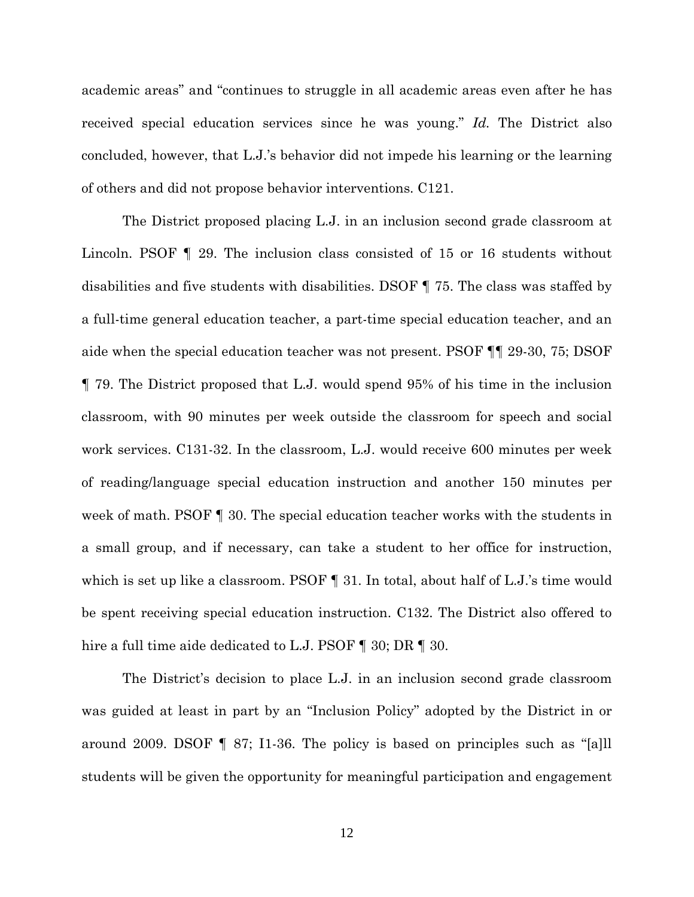academic areas" and "continues to struggle in all academic areas even after he has received special education services since he was young." *Id.* The District also concluded, however, that L.J.'s behavior did not impede his learning or the learning of others and did not propose behavior interventions. C121.

The District proposed placing L.J. in an inclusion second grade classroom at Lincoln. PSOF ¶ 29. The inclusion class consisted of 15 or 16 students without disabilities and five students with disabilities. DSOF ¶ 75. The class was staffed by a full-time general education teacher, a part-time special education teacher, and an aide when the special education teacher was not present. PSOF ¶¶ 29-30, 75; DSOF ¶ 79. The District proposed that L.J. would spend 95% of his time in the inclusion classroom, with 90 minutes per week outside the classroom for speech and social work services. C131-32. In the classroom, L.J. would receive 600 minutes per week of reading/language special education instruction and another 150 minutes per week of math. PSOF  $\P$  30. The special education teacher works with the students in a small group, and if necessary, can take a student to her office for instruction, which is set up like a classroom. PSOF  $\P$  31. In total, about half of L.J.'s time would be spent receiving special education instruction. C132. The District also offered to hire a full time aide dedicated to L.J. PSOF ¶ 30; DR ¶ 30.

The District's decision to place L.J. in an inclusion second grade classroom was guided at least in part by an "Inclusion Policy" adopted by the District in or around 2009. DSOF  $\P$  87; I1-36. The policy is based on principles such as "[a]ll students will be given the opportunity for meaningful participation and engagement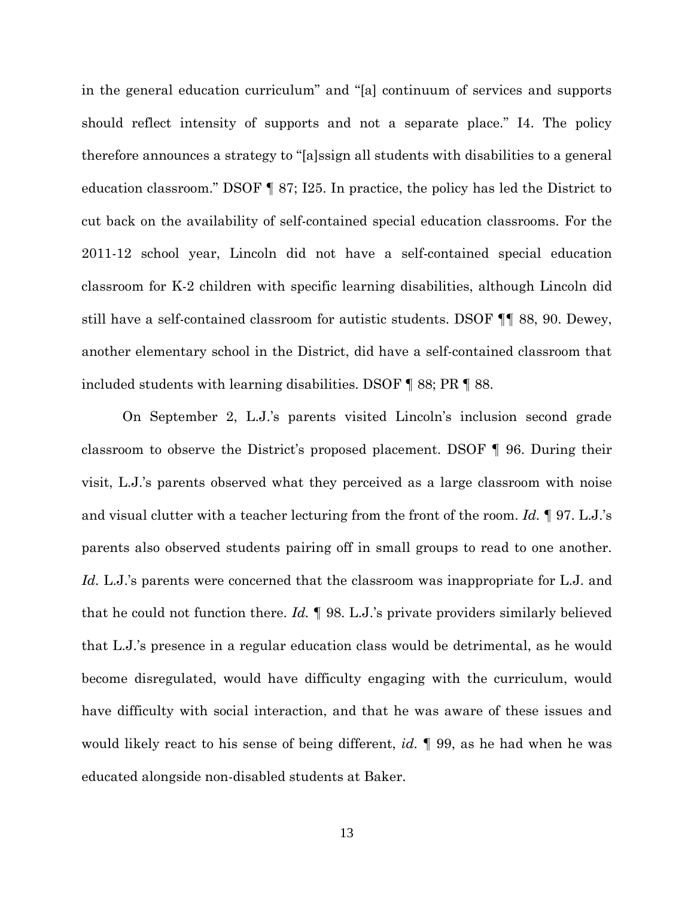in the general education curriculum" and "[a] continuum of services and supports should reflect intensity of supports and not a separate place." I4. The policy therefore announces a strategy to "[a]ssign all students with disabilities to a general education classroom." DSOF ¶ 87; I25. In practice, the policy has led the District to cut back on the availability of self-contained special education classrooms. For the 2011-12 school year, Lincoln did not have a self-contained special education classroom for K-2 children with specific learning disabilities, although Lincoln did still have a self-contained classroom for autistic students. DSOF ¶¶ 88, 90. Dewey, another elementary school in the District, did have a self-contained classroom that included students with learning disabilities. DSOF ¶ 88; PR ¶ 88.

On September 2, L.J.'s parents visited Lincoln's inclusion second grade classroom to observe the District's proposed placement. DSOF ¶ 96. During their visit, L.J.'s parents observed what they perceived as a large classroom with noise and visual clutter with a teacher lecturing from the front of the room. *Id.* ¶ 97. L.J.'s parents also observed students pairing off in small groups to read to one another. Id. L.J.'s parents were concerned that the classroom was inappropriate for L.J. and that he could not function there. *Id.* ¶ 98. L.J.'s private providers similarly believed that L.J.'s presence in a regular education class would be detrimental, as he would become disregulated, would have difficulty engaging with the curriculum, would have difficulty with social interaction, and that he was aware of these issues and would likely react to his sense of being different, *id.* ¶ 99, as he had when he was educated alongside non-disabled students at Baker.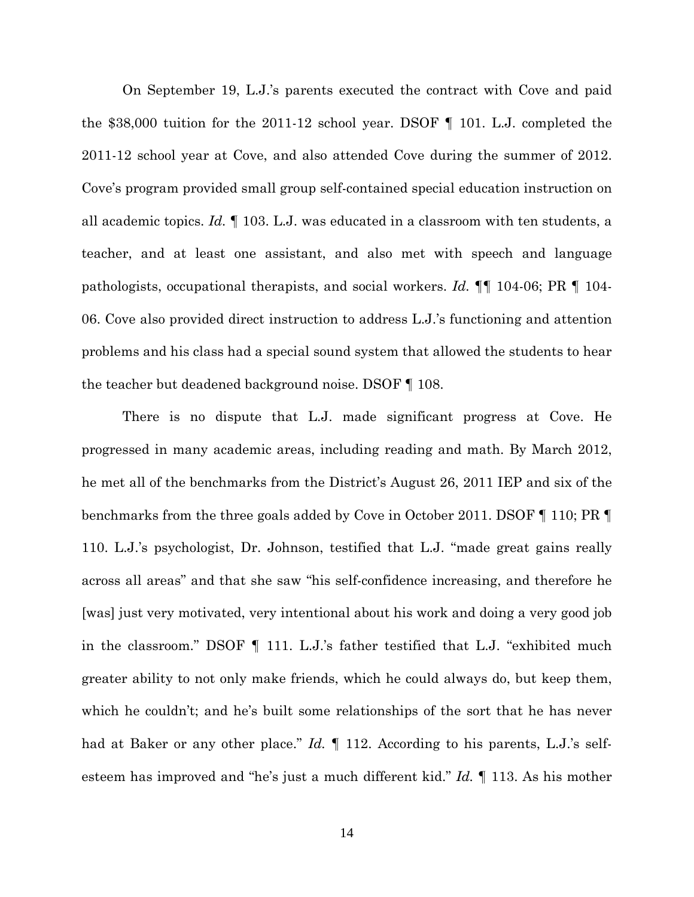On September 19, L.J.'s parents executed the contract with Cove and paid the \$38,000 tuition for the 2011-12 school year. DSOF ¶ 101. L.J. completed the 2011-12 school year at Cove, and also attended Cove during the summer of 2012. Cove's program provided small group self-contained special education instruction on all academic topics. *Id.* ¶ 103. L.J. was educated in a classroom with ten students, a teacher, and at least one assistant, and also met with speech and language pathologists, occupational therapists, and social workers. *Id.* ¶¶ 104-06; PR ¶ 104- 06. Cove also provided direct instruction to address L.J.'s functioning and attention problems and his class had a special sound system that allowed the students to hear the teacher but deadened background noise. DSOF ¶ 108.

There is no dispute that L.J. made significant progress at Cove. He progressed in many academic areas, including reading and math. By March 2012, he met all of the benchmarks from the District's August 26, 2011 IEP and six of the benchmarks from the three goals added by Cove in October 2011. DSOF ¶ 110; PR ¶ 110. L.J.'s psychologist, Dr. Johnson, testified that L.J. "made great gains really across all areas" and that she saw "his self-confidence increasing, and therefore he [was] just very motivated, very intentional about his work and doing a very good job in the classroom." DSOF ¶ 111. L.J.'s father testified that L.J. "exhibited much greater ability to not only make friends, which he could always do, but keep them, which he couldn't; and he's built some relationships of the sort that he has never had at Baker or any other place." *Id.* If 112. According to his parents, L.J.'s selfesteem has improved and "he's just a much different kid." *Id.* ¶ 113. As his mother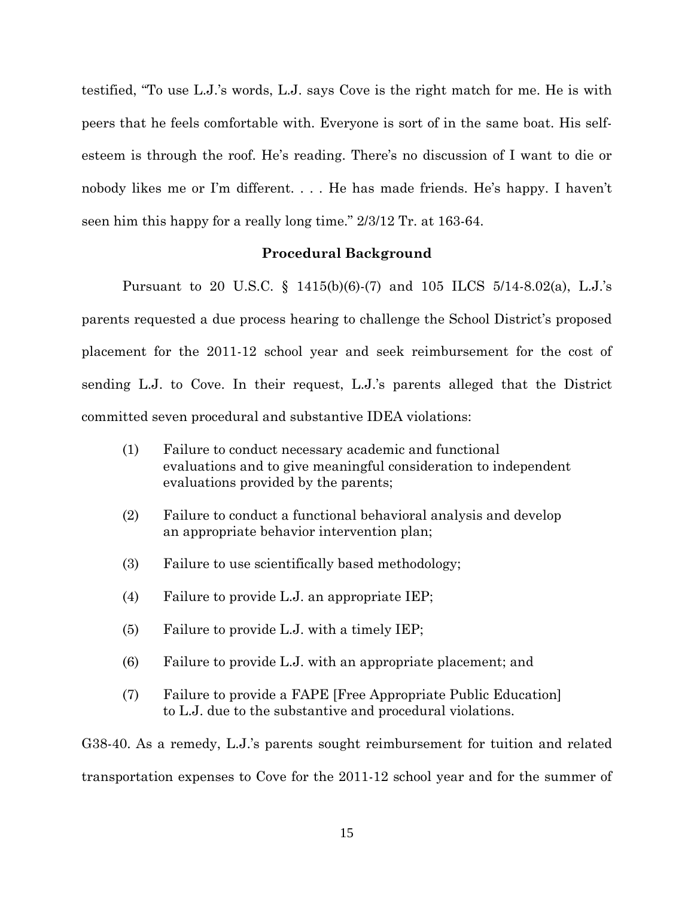testified, "To use L.J.'s words, L.J. says Cove is the right match for me. He is with peers that he feels comfortable with. Everyone is sort of in the same boat. His selfesteem is through the roof. He's reading. There's no discussion of I want to die or nobody likes me or I'm different. . . . He has made friends. He's happy. I haven't seen him this happy for a really long time." 2/3/12 Tr. at 163-64.

### **Procedural Background**

 Pursuant to 20 U.S.C. § 1415(b)(6)-(7) and 105 ILCS 5/14-8.02(a), L.J.'s parents requested a due process hearing to challenge the School District's proposed placement for the 2011-12 school year and seek reimbursement for the cost of sending L.J. to Cove. In their request, L.J.'s parents alleged that the District committed seven procedural and substantive IDEA violations:

- (1) Failure to conduct necessary academic and functional evaluations and to give meaningful consideration to independent evaluations provided by the parents;
- (2) Failure to conduct a functional behavioral analysis and develop an appropriate behavior intervention plan;
- (3) Failure to use scientifically based methodology;
- (4) Failure to provide L.J. an appropriate IEP;
- (5) Failure to provide L.J. with a timely IEP;
- (6) Failure to provide L.J. with an appropriate placement; and
- (7) Failure to provide a FAPE [Free Appropriate Public Education] to L.J. due to the substantive and procedural violations.

G38-40. As a remedy, L.J.'s parents sought reimbursement for tuition and related transportation expenses to Cove for the 2011-12 school year and for the summer of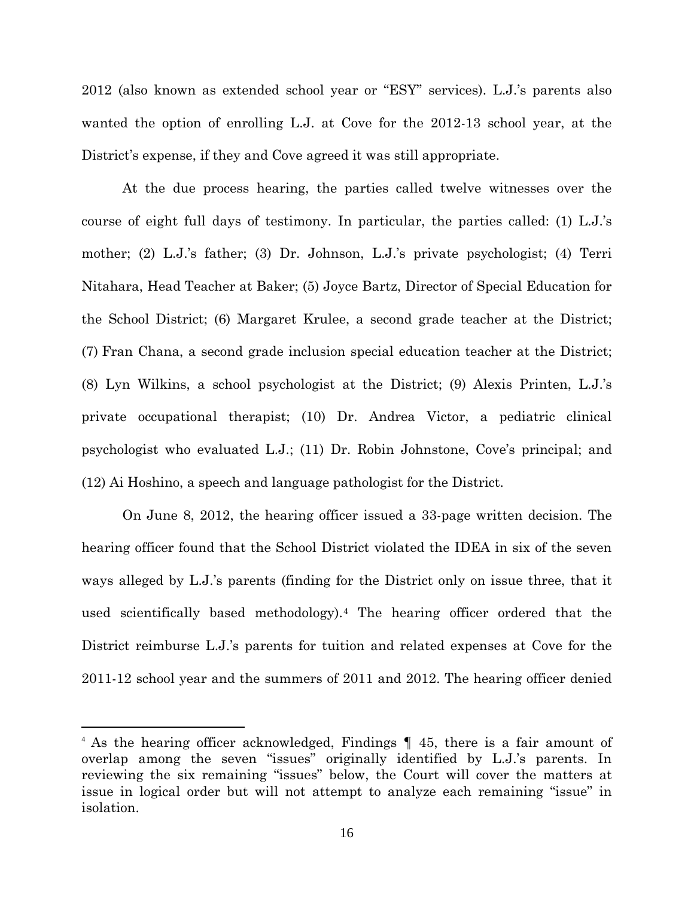2012 (also known as extended school year or "ESY" services). L.J.'s parents also wanted the option of enrolling L.J. at Cove for the 2012-13 school year, at the District's expense, if they and Cove agreed it was still appropriate.

At the due process hearing, the parties called twelve witnesses over the course of eight full days of testimony. In particular, the parties called: (1) L.J.'s mother; (2) L.J.'s father; (3) Dr. Johnson, L.J.'s private psychologist; (4) Terri Nitahara, Head Teacher at Baker; (5) Joyce Bartz, Director of Special Education for the School District; (6) Margaret Krulee, a second grade teacher at the District; (7) Fran Chana, a second grade inclusion special education teacher at the District; (8) Lyn Wilkins, a school psychologist at the District; (9) Alexis Printen, L.J.'s private occupational therapist; (10) Dr. Andrea Victor, a pediatric clinical psychologist who evaluated L.J.; (11) Dr. Robin Johnstone, Cove's principal; and (12) Ai Hoshino, a speech and language pathologist for the District.

On June 8, 2012, the hearing officer issued a 33-page written decision. The hearing officer found that the School District violated the IDEA in six of the seven ways alleged by L.J.'s parents (finding for the District only on issue three, that it used scientifically based methodology).[4](#page-15-0) The hearing officer ordered that the District reimburse L.J.'s parents for tuition and related expenses at Cove for the 2011-12 school year and the summers of 2011 and 2012. The hearing officer denied

<u>.</u>

<span id="page-15-0"></span><sup>4</sup> As the hearing officer acknowledged, Findings ¶ 45, there is a fair amount of overlap among the seven "issues" originally identified by L.J.'s parents. In reviewing the six remaining "issues" below, the Court will cover the matters at issue in logical order but will not attempt to analyze each remaining "issue" in isolation.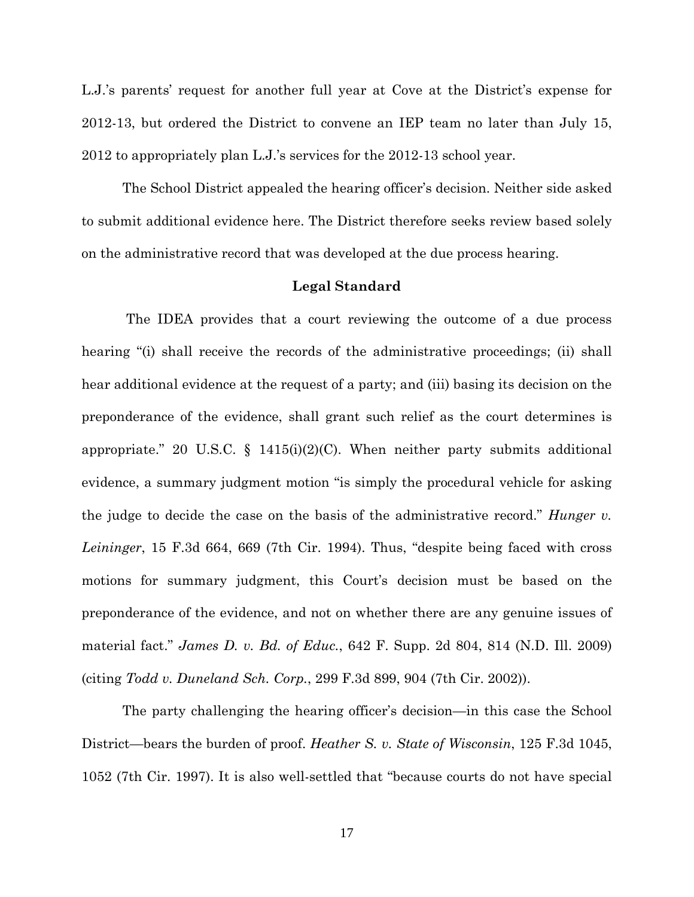L.J.'s parents' request for another full year at Cove at the District's expense for 2012-13, but ordered the District to convene an IEP team no later than July 15, 2012 to appropriately plan L.J.'s services for the 2012-13 school year.

The School District appealed the hearing officer's decision. Neither side asked to submit additional evidence here. The District therefore seeks review based solely on the administrative record that was developed at the due process hearing.

#### **Legal Standard**

 The IDEA provides that a court reviewing the outcome of a due process hearing "(i) shall receive the records of the administrative proceedings; (ii) shall hear additional evidence at the request of a party; and (iii) basing its decision on the preponderance of the evidence, shall grant such relief as the court determines is appropriate." 20 U.S.C.  $\S$  1415(i)(2)(C). When neither party submits additional evidence, a summary judgment motion "is simply the procedural vehicle for asking the judge to decide the case on the basis of the administrative record." *Hunger v. Leininger*, 15 F.3d 664, 669 (7th Cir. 1994). Thus, "despite being faced with cross motions for summary judgment, this Court's decision must be based on the preponderance of the evidence, and not on whether there are any genuine issues of material fact." *James D. v. Bd. of Educ.*, 642 F. Supp. 2d 804, 814 (N.D. Ill. 2009) (citing *Todd v. Duneland Sch. Corp.*, 299 F.3d 899, 904 (7th Cir. 2002)).

The party challenging the hearing officer's decision—in this case the School District—bears the burden of proof. *Heather S. v. State of Wisconsin*, 125 F.3d 1045, 1052 (7th Cir. 1997). It is also well-settled that "because courts do not have special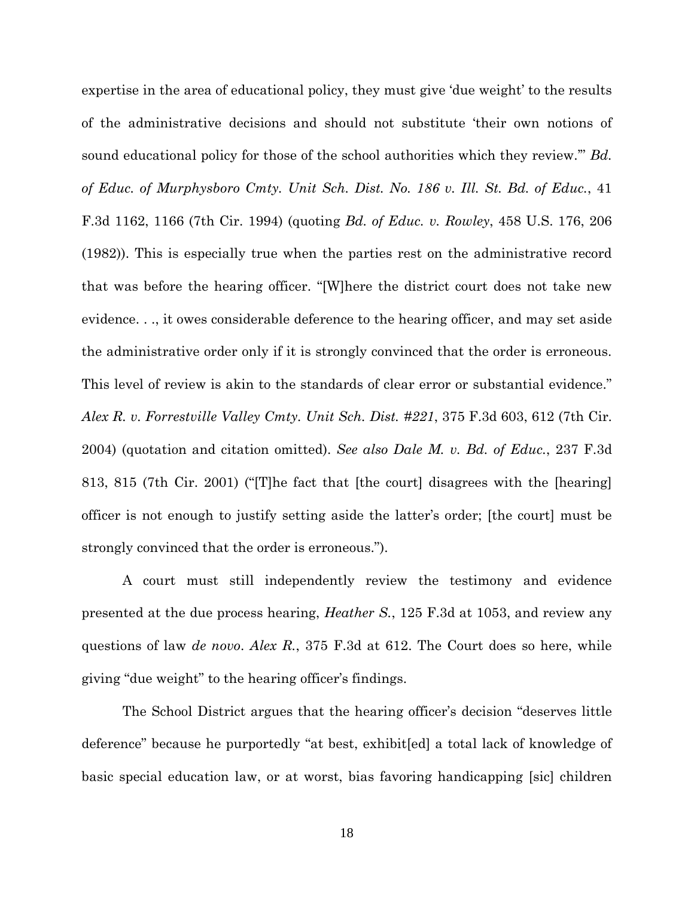expertise in the area of educational policy, they must give 'due weight' to the results of the administrative decisions and should not substitute 'their own notions of sound educational policy for those of the school authorities which they review.'" *Bd. of Educ. of Murphysboro Cmty. Unit Sch. Dist. No. 186 v. Ill. St. Bd. of Educ.*, 41 F.3d 1162, 1166 (7th Cir. 1994) (quoting *Bd. of Educ. v. Rowley*, 458 U.S. 176, 206 (1982)). This is especially true when the parties rest on the administrative record that was before the hearing officer. "[W]here the district court does not take new evidence. . ., it owes considerable deference to the hearing officer, and may set aside the administrative order only if it is strongly convinced that the order is erroneous. This level of review is akin to the standards of clear error or substantial evidence." *Alex R. v. Forrestville Valley Cmty. Unit Sch. Dist. #221*, 375 F.3d 603, 612 (7th Cir. 2004) (quotation and citation omitted). *See also Dale M. v. Bd. of Educ.*, 237 F.3d 813, 815 (7th Cir. 2001) ("[T]he fact that [the court] disagrees with the [hearing] officer is not enough to justify setting aside the latter's order; [the court] must be strongly convinced that the order is erroneous.").

A court must still independently review the testimony and evidence presented at the due process hearing, *Heather S.*, 125 F.3d at 1053, and review any questions of law *de novo*. *Alex R.*, 375 F.3d at 612. The Court does so here, while giving "due weight" to the hearing officer's findings.

The School District argues that the hearing officer's decision "deserves little deference" because he purportedly "at best, exhibit[ed] a total lack of knowledge of basic special education law, or at worst, bias favoring handicapping [sic] children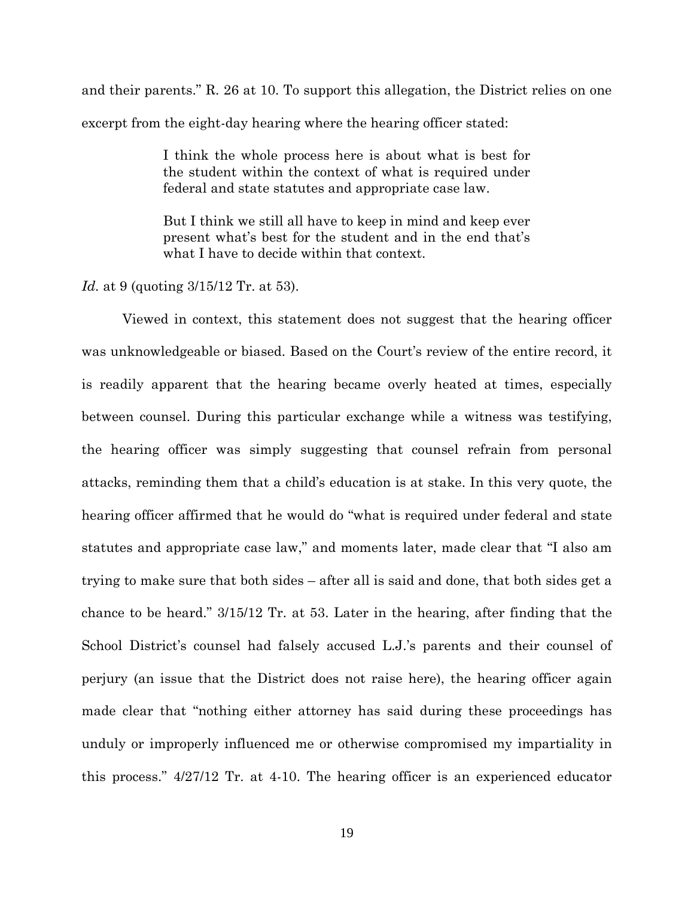and their parents." R. 26 at 10. To support this allegation, the District relies on one excerpt from the eight-day hearing where the hearing officer stated:

> I think the whole process here is about what is best for the student within the context of what is required under federal and state statutes and appropriate case law.

> But I think we still all have to keep in mind and keep ever present what's best for the student and in the end that's what I have to decide within that context.

*Id.* at 9 (quoting 3/15/12 Tr. at 53).

Viewed in context, this statement does not suggest that the hearing officer was unknowledgeable or biased. Based on the Court's review of the entire record, it is readily apparent that the hearing became overly heated at times, especially between counsel. During this particular exchange while a witness was testifying, the hearing officer was simply suggesting that counsel refrain from personal attacks, reminding them that a child's education is at stake. In this very quote, the hearing officer affirmed that he would do "what is required under federal and state statutes and appropriate case law," and moments later, made clear that "I also am trying to make sure that both sides – after all is said and done, that both sides get a chance to be heard." 3/15/12 Tr. at 53. Later in the hearing, after finding that the School District's counsel had falsely accused L.J.'s parents and their counsel of perjury (an issue that the District does not raise here), the hearing officer again made clear that "nothing either attorney has said during these proceedings has unduly or improperly influenced me or otherwise compromised my impartiality in this process." 4/27/12 Tr. at 4-10. The hearing officer is an experienced educator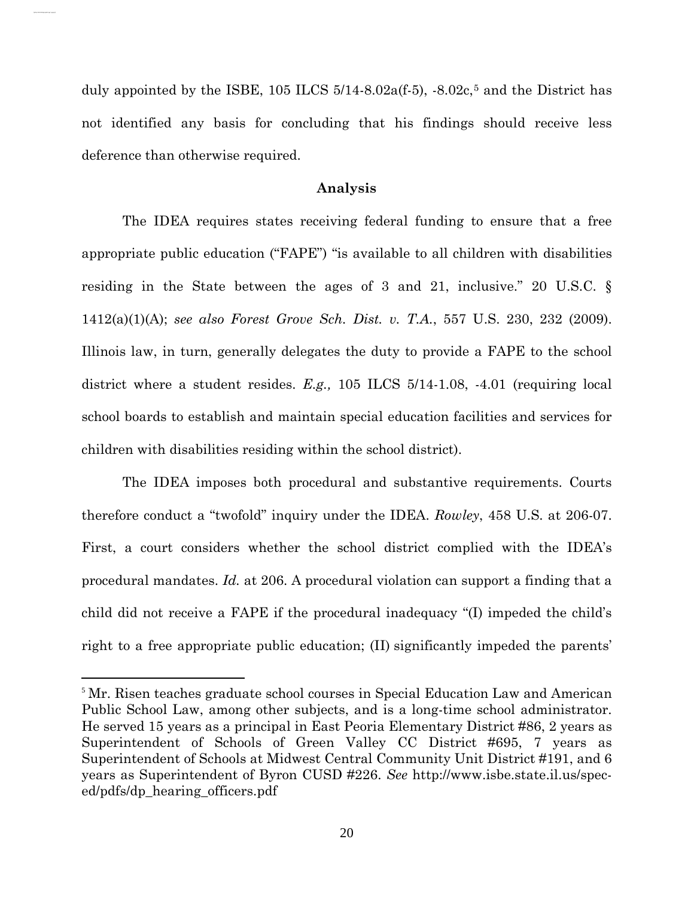duly appointed by the ISBE, 10[5](#page-19-0) ILCS  $5/14-8.02a(f\cdot5)$ ,  $-8.02c,\mathbb{5}$  and the District has not identified any basis for concluding that his findings should receive less deference than otherwise required.

## **Analysis**

The IDEA requires states receiving federal funding to ensure that a free appropriate public education ("FAPE") "is available to all children with disabilities residing in the State between the ages of 3 and 21, inclusive." 20 U.S.C. § 1412(a)(1)(A); *see also Forest Grove Sch. Dist. v. T.A.*, 557 U.S. 230, 232 (2009). Illinois law, in turn, generally delegates the duty to provide a FAPE to the school district where a student resides. *E.g.,* 105 ILCS 5/14-1.08, -4.01 (requiring local school boards to establish and maintain special education facilities and services for children with disabilities residing within the school district).

The IDEA imposes both procedural and substantive requirements. Courts therefore conduct a "twofold" inquiry under the IDEA. *Rowley*, 458 U.S. at 206-07. First, a court considers whether the school district complied with the IDEA's procedural mandates. *Id.* at 206. A procedural violation can support a finding that a child did not receive a FAPE if the procedural inadequacy "(I) impeded the child's right to a free appropriate public education; (II) significantly impeded the parents'

 $\overline{a}$ 

<span id="page-19-0"></span><sup>5</sup> Mr. Risen teaches graduate school courses in Special Education Law and American Public School Law, among other subjects, and is a long-time school administrator. He served 15 years as a principal in East Peoria Elementary District #86, 2 years as Superintendent of Schools of Green Valley CC District #695, 7 years as Superintendent of Schools at Midwest Central Community Unit District #191, and 6 years as Superintendent of Byron CUSD #226. *See* http://www.isbe.state.il.us/speced/pdfs/dp\_hearing\_officers.pdf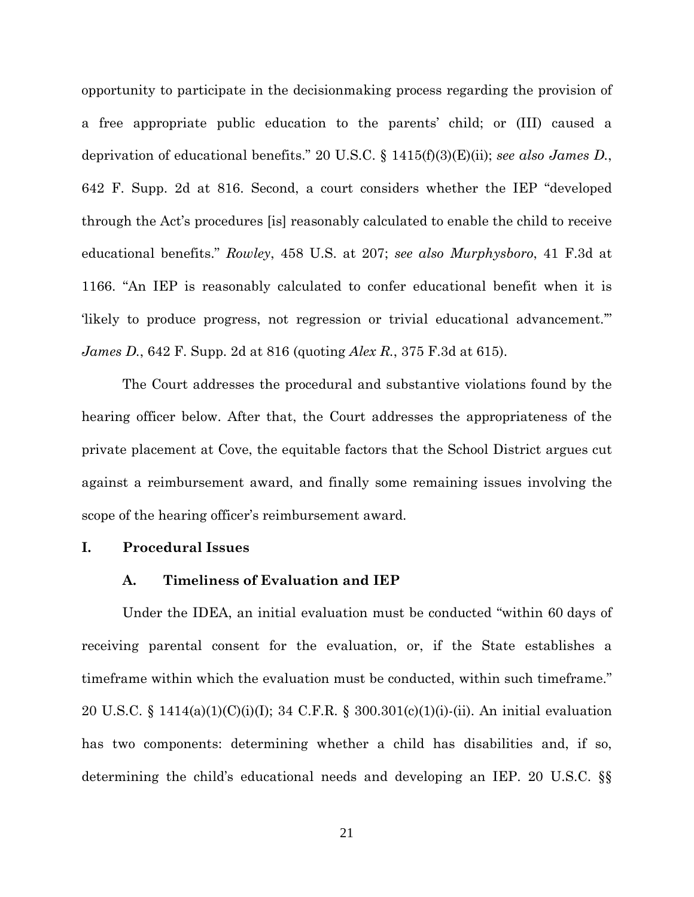opportunity to participate in the decisionmaking process regarding the provision of a free appropriate public education to the parents' child; or (III) caused a deprivation of educational benefits." 20 U.S.C. § 1415(f)(3)(E)(ii); *see also James D.*, 642 F. Supp. 2d at 816. Second, a court considers whether the IEP "developed through the Act's procedures [is] reasonably calculated to enable the child to receive educational benefits." *Rowley*, 458 U.S. at 207; *see also Murphysboro*, 41 F.3d at 1166. "An IEP is reasonably calculated to confer educational benefit when it is 'likely to produce progress, not regression or trivial educational advancement.'" *James D.*, 642 F. Supp. 2d at 816 (quoting *Alex R.*, 375 F.3d at 615).

The Court addresses the procedural and substantive violations found by the hearing officer below. After that, the Court addresses the appropriateness of the private placement at Cove, the equitable factors that the School District argues cut against a reimbursement award, and finally some remaining issues involving the scope of the hearing officer's reimbursement award.

## **I. Procedural Issues**

## **A. Timeliness of Evaluation and IEP**

Under the IDEA, an initial evaluation must be conducted "within 60 days of receiving parental consent for the evaluation, or, if the State establishes a timeframe within which the evaluation must be conducted, within such timeframe." 20 U.S.C. § 1414(a)(1)(C)(i)(I); 34 C.F.R. § 300.301(c)(1)(i)-(ii). An initial evaluation has two components: determining whether a child has disabilities and, if so, determining the child's educational needs and developing an IEP. 20 U.S.C. §§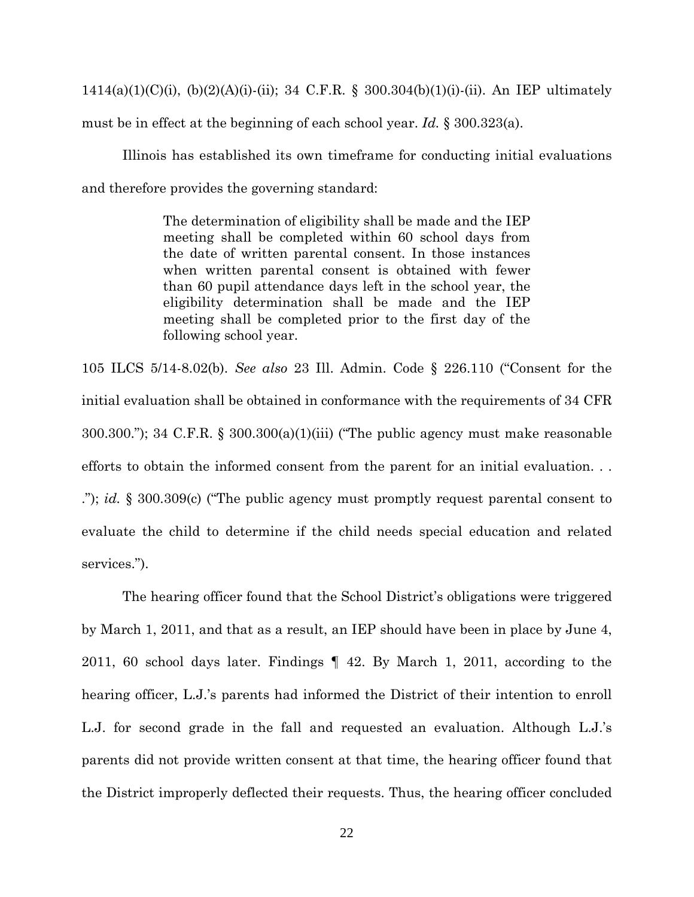1414(a)(1)(C)(i), (b)(2)(A)(i)-(ii); 34 C.F.R. § 300.304(b)(1)(i)-(ii). An IEP ultimately must be in effect at the beginning of each school year. *Id.* § 300.323(a).

Illinois has established its own timeframe for conducting initial evaluations and therefore provides the governing standard:

> The determination of eligibility shall be made and the IEP meeting shall be completed within 60 school days from the date of written parental consent. In those instances when written parental consent is obtained with fewer than 60 pupil attendance days left in the school year, the eligibility determination shall be made and the IEP meeting shall be completed prior to the first day of the following school year.

105 ILCS 5/14-8.02(b). *See also* 23 Ill. Admin. Code § 226.110 ("Consent for the initial evaluation shall be obtained in conformance with the requirements of 34 CFR 300.300."); 34 C.F.R. § 300.300(a)(1)(iii) ("The public agency must make reasonable efforts to obtain the informed consent from the parent for an initial evaluation. . . ."); *id.* § 300.309(c) ("The public agency must promptly request parental consent to evaluate the child to determine if the child needs special education and related services.").

 The hearing officer found that the School District's obligations were triggered by March 1, 2011, and that as a result, an IEP should have been in place by June 4, 2011, 60 school days later. Findings ¶ 42. By March 1, 2011, according to the hearing officer, L.J.'s parents had informed the District of their intention to enroll L.J. for second grade in the fall and requested an evaluation. Although L.J.'s parents did not provide written consent at that time, the hearing officer found that the District improperly deflected their requests. Thus, the hearing officer concluded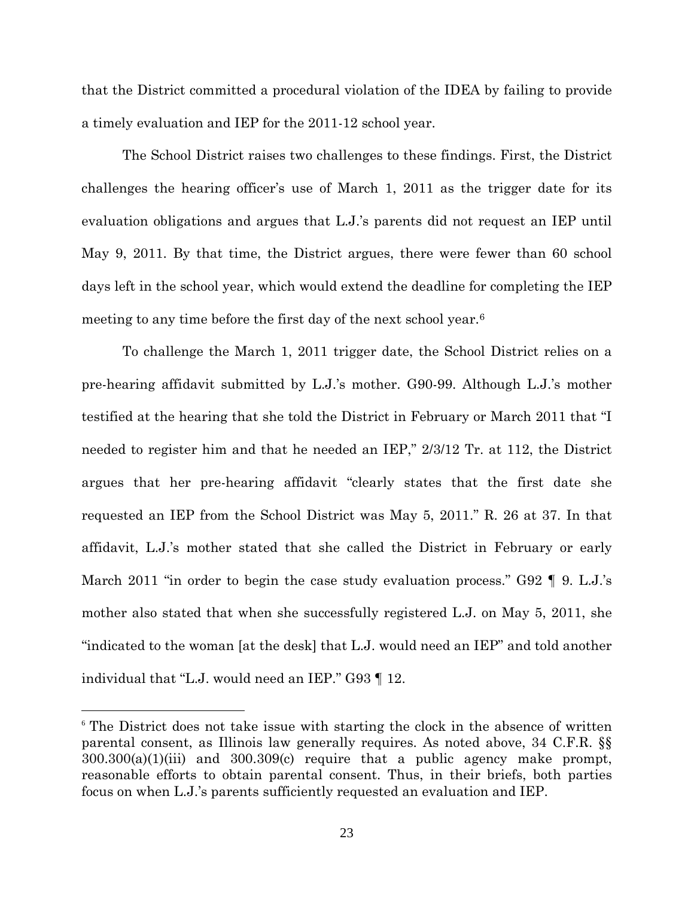that the District committed a procedural violation of the IDEA by failing to provide a timely evaluation and IEP for the 2011-12 school year.

The School District raises two challenges to these findings. First, the District challenges the hearing officer's use of March 1, 2011 as the trigger date for its evaluation obligations and argues that L.J.'s parents did not request an IEP until May 9, 2011. By that time, the District argues, there were fewer than 60 school days left in the school year, which would extend the deadline for completing the IEP meeting to any time before the first day of the next school year.[6](#page-22-0)

To challenge the March 1, 2011 trigger date, the School District relies on a pre-hearing affidavit submitted by L.J.'s mother. G90-99. Although L.J.'s mother testified at the hearing that she told the District in February or March 2011 that "I needed to register him and that he needed an IEP," 2/3/12 Tr. at 112, the District argues that her pre-hearing affidavit "clearly states that the first date she requested an IEP from the School District was May 5, 2011." R. 26 at 37. In that affidavit, L.J.'s mother stated that she called the District in February or early March 2011 "in order to begin the case study evaluation process." G92 ¶ 9. L.J.'s mother also stated that when she successfully registered L.J. on May 5, 2011, she "indicated to the woman [at the desk] that L.J. would need an IEP" and told another individual that "L.J. would need an IEP." G93 ¶ 12.

<u>.</u>

<span id="page-22-0"></span><sup>&</sup>lt;sup>6</sup> The District does not take issue with starting the clock in the absence of written parental consent, as Illinois law generally requires. As noted above, 34 C.F.R. §§ 300.300(a)(1)(iii) and 300.309(c) require that a public agency make prompt, reasonable efforts to obtain parental consent. Thus, in their briefs, both parties focus on when L.J.'s parents sufficiently requested an evaluation and IEP.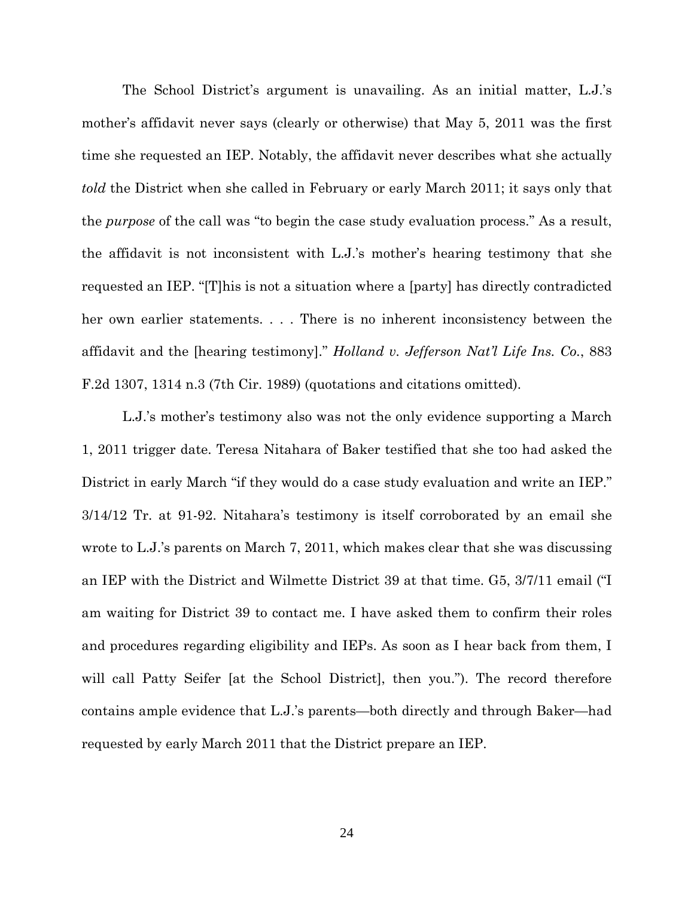The School District's argument is unavailing. As an initial matter, L.J.'s mother's affidavit never says (clearly or otherwise) that May 5, 2011 was the first time she requested an IEP. Notably, the affidavit never describes what she actually *told* the District when she called in February or early March 2011; it says only that the *purpose* of the call was "to begin the case study evaluation process." As a result, the affidavit is not inconsistent with L.J.'s mother's hearing testimony that she requested an IEP. "[T]his is not a situation where a [party] has directly contradicted her own earlier statements. . . . There is no inherent inconsistency between the affidavit and the [hearing testimony]." *Holland v. Jefferson Nat'l Life Ins. Co.*, 883 F.2d 1307, 1314 n.3 (7th Cir. 1989) (quotations and citations omitted).

L.J.'s mother's testimony also was not the only evidence supporting a March 1, 2011 trigger date. Teresa Nitahara of Baker testified that she too had asked the District in early March "if they would do a case study evaluation and write an IEP." 3/14/12 Tr. at 91-92. Nitahara's testimony is itself corroborated by an email she wrote to L.J.'s parents on March 7, 2011, which makes clear that she was discussing an IEP with the District and Wilmette District 39 at that time. G5, 3/7/11 email ("I am waiting for District 39 to contact me. I have asked them to confirm their roles and procedures regarding eligibility and IEPs. As soon as I hear back from them, I will call Patty Seifer [at the School District], then you."). The record therefore contains ample evidence that L.J.'s parents—both directly and through Baker—had requested by early March 2011 that the District prepare an IEP.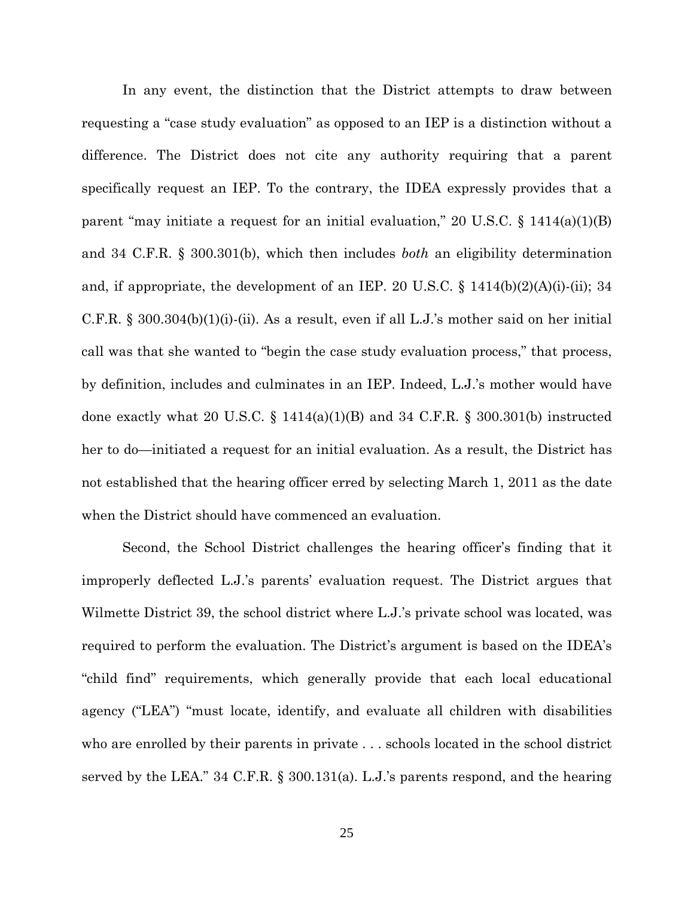In any event, the distinction that the District attempts to draw between requesting a "case study evaluation" as opposed to an IEP is a distinction without a difference. The District does not cite any authority requiring that a parent specifically request an IEP. To the contrary, the IDEA expressly provides that a parent "may initiate a request for an initial evaluation," 20 U.S.C.  $\S$  1414(a)(1)(B) and 34 C.F.R. § 300.301(b), which then includes *both* an eligibility determination and, if appropriate, the development of an IEP. 20 U.S.C. § 1414(b)(2)(A)(i)-(ii); 34 C.F.R. § 300.304(b)(1)(i)-(ii). As a result, even if all L.J.'s mother said on her initial call was that she wanted to "begin the case study evaluation process," that process, by definition, includes and culminates in an IEP. Indeed, L.J.'s mother would have done exactly what 20 U.S.C.  $\S$  1414(a)(1)(B) and 34 C.F.R.  $\S$  300.301(b) instructed her to do—initiated a request for an initial evaluation. As a result, the District has not established that the hearing officer erred by selecting March 1, 2011 as the date when the District should have commenced an evaluation.

Second, the School District challenges the hearing officer's finding that it improperly deflected L.J.'s parents' evaluation request. The District argues that Wilmette District 39, the school district where L.J.'s private school was located, was required to perform the evaluation. The District's argument is based on the IDEA's "child find" requirements, which generally provide that each local educational agency ("LEA") "must locate, identify, and evaluate all children with disabilities who are enrolled by their parents in private . . . schools located in the school district served by the LEA." 34 C.F.R. § 300.131(a). L.J.'s parents respond, and the hearing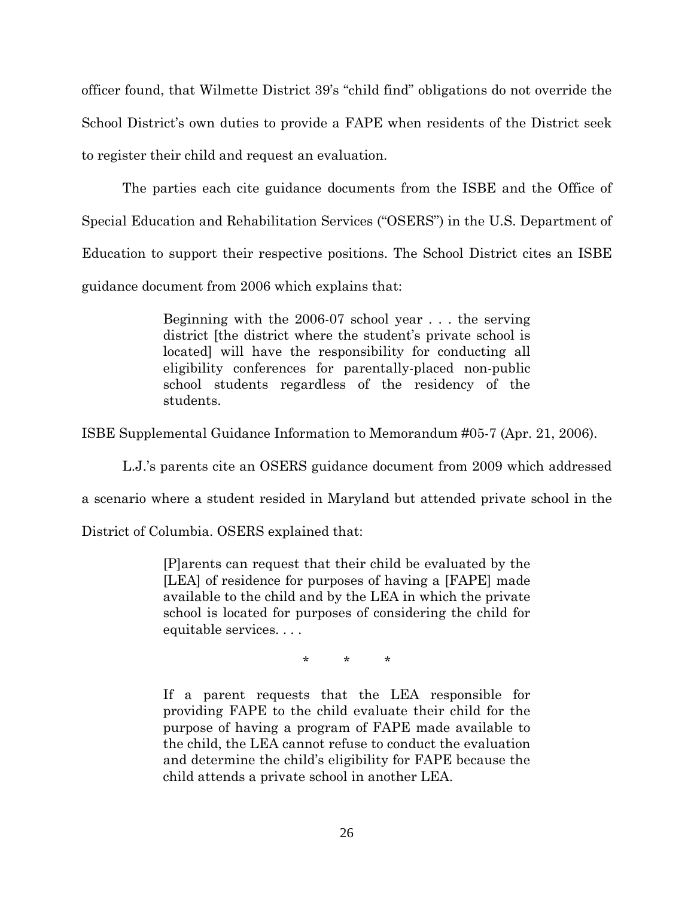officer found, that Wilmette District 39's "child find" obligations do not override the School District's own duties to provide a FAPE when residents of the District seek to register their child and request an evaluation.

The parties each cite guidance documents from the ISBE and the Office of Special Education and Rehabilitation Services ("OSERS") in the U.S. Department of Education to support their respective positions. The School District cites an ISBE guidance document from 2006 which explains that:

> Beginning with the 2006-07 school year . . . the serving district [the district where the student's private school is located] will have the responsibility for conducting all eligibility conferences for parentally-placed non-public school students regardless of the residency of the students.

ISBE Supplemental Guidance Information to Memorandum #05-7 (Apr. 21, 2006).

L.J.'s parents cite an OSERS guidance document from 2009 which addressed

a scenario where a student resided in Maryland but attended private school in the

District of Columbia. OSERS explained that:

[P]arents can request that their child be evaluated by the [LEA] of residence for purposes of having a [FAPE] made available to the child and by the LEA in which the private school is located for purposes of considering the child for equitable services. . . .

\* \* \*

If a parent requests that the LEA responsible for providing FAPE to the child evaluate their child for the purpose of having a program of FAPE made available to the child, the LEA cannot refuse to conduct the evaluation and determine the child's eligibility for FAPE because the child attends a private school in another LEA.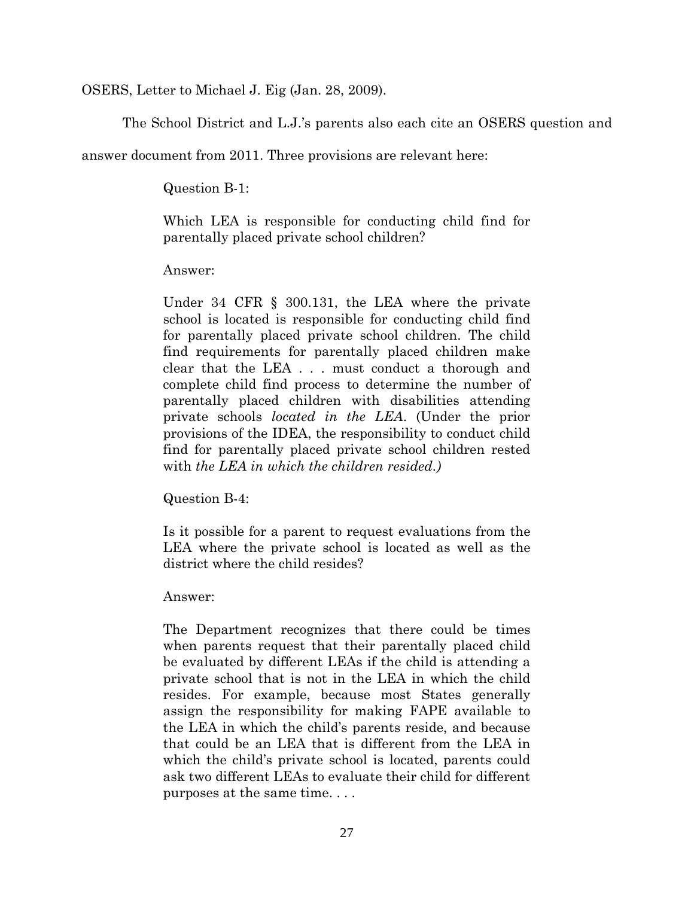OSERS, Letter to Michael J. Eig (Jan. 28, 2009).

The School District and L.J.'s parents also each cite an OSERS question and

answer document from 2011. Three provisions are relevant here:

Question B-1:

Which LEA is responsible for conducting child find for parentally placed private school children?

Answer:

Under 34 CFR § 300.131, the LEA where the private school is located is responsible for conducting child find for parentally placed private school children. The child find requirements for parentally placed children make clear that the LEA . . . must conduct a thorough and complete child find process to determine the number of parentally placed children with disabilities attending private schools *located in the LEA*. (Under the prior provisions of the IDEA, the responsibility to conduct child find for parentally placed private school children rested with *the LEA in which the children resided.)*

Question B-4:

Is it possible for a parent to request evaluations from the LEA where the private school is located as well as the district where the child resides?

Answer:

The Department recognizes that there could be times when parents request that their parentally placed child be evaluated by different LEAs if the child is attending a private school that is not in the LEA in which the child resides. For example, because most States generally assign the responsibility for making FAPE available to the LEA in which the child's parents reside, and because that could be an LEA that is different from the LEA in which the child's private school is located, parents could ask two different LEAs to evaluate their child for different purposes at the same time. . . .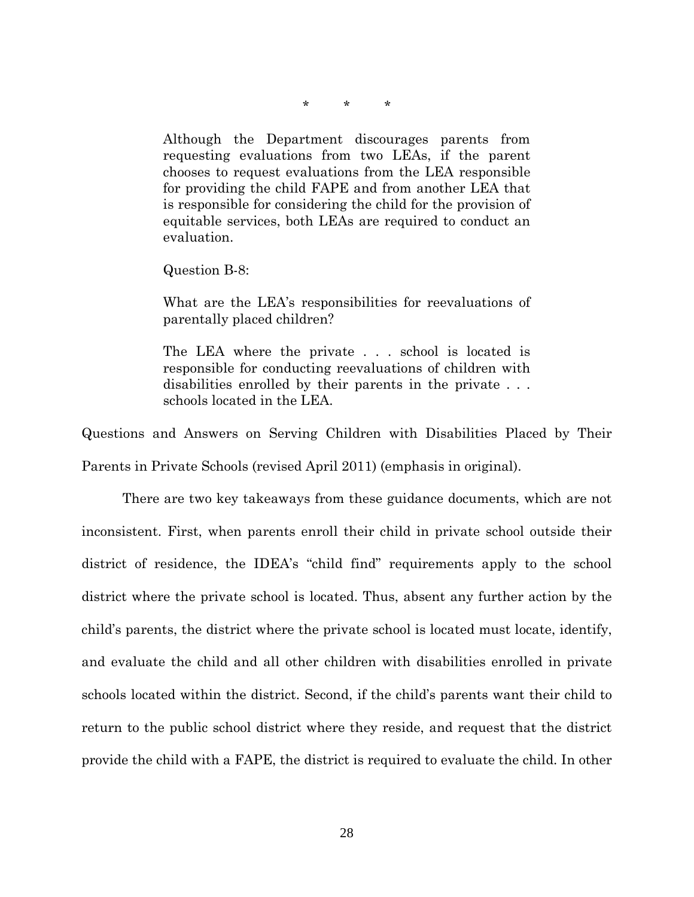\* \* \*

Although the Department discourages parents from requesting evaluations from two LEAs, if the parent chooses to request evaluations from the LEA responsible for providing the child FAPE and from another LEA that is responsible for considering the child for the provision of equitable services, both LEAs are required to conduct an evaluation.

Question B-8:

What are the LEA's responsibilities for reevaluations of parentally placed children?

The LEA where the private . . . school is located is responsible for conducting reevaluations of children with disabilities enrolled by their parents in the private . . . schools located in the LEA.

Questions and Answers on Serving Children with Disabilities Placed by Their Parents in Private Schools (revised April 2011) (emphasis in original).

There are two key takeaways from these guidance documents, which are not inconsistent. First, when parents enroll their child in private school outside their district of residence, the IDEA's "child find" requirements apply to the school district where the private school is located. Thus, absent any further action by the child's parents, the district where the private school is located must locate, identify, and evaluate the child and all other children with disabilities enrolled in private schools located within the district. Second, if the child's parents want their child to return to the public school district where they reside, and request that the district provide the child with a FAPE, the district is required to evaluate the child. In other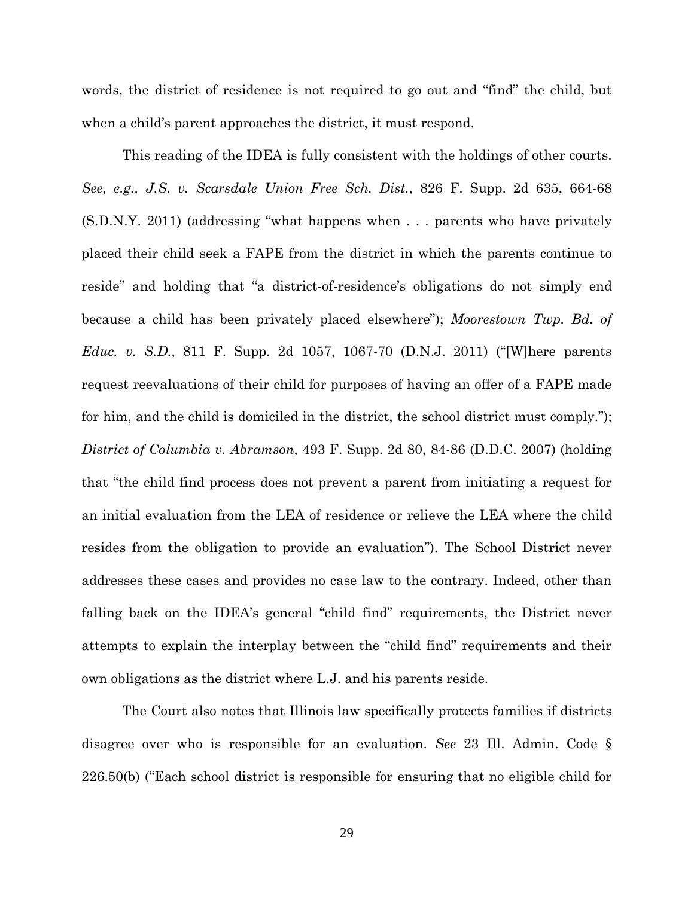words, the district of residence is not required to go out and "find" the child, but when a child's parent approaches the district, it must respond.

This reading of the IDEA is fully consistent with the holdings of other courts. *See, e.g., J.S. v. Scarsdale Union Free Sch. Dist.*, 826 F. Supp. 2d 635, 664-68 (S.D.N.Y. 2011) (addressing "what happens when . . . parents who have privately placed their child seek a FAPE from the district in which the parents continue to reside" and holding that "a district-of-residence's obligations do not simply end because a child has been privately placed elsewhere"); *Moorestown Twp. Bd. of Educ. v. S.D.*, 811 F. Supp. 2d 1057, 1067-70 (D.N.J. 2011) ("[W]here parents request reevaluations of their child for purposes of having an offer of a FAPE made for him, and the child is domiciled in the district, the school district must comply."); *District of Columbia v. Abramson*, 493 F. Supp. 2d 80, 84-86 (D.D.C. 2007) (holding that "the child find process does not prevent a parent from initiating a request for an initial evaluation from the LEA of residence or relieve the LEA where the child resides from the obligation to provide an evaluation"). The School District never addresses these cases and provides no case law to the contrary. Indeed, other than falling back on the IDEA's general "child find" requirements, the District never attempts to explain the interplay between the "child find" requirements and their own obligations as the district where L.J. and his parents reside.

 The Court also notes that Illinois law specifically protects families if districts disagree over who is responsible for an evaluation. *See* 23 Ill. Admin. Code § 226.50(b) ("Each school district is responsible for ensuring that no eligible child for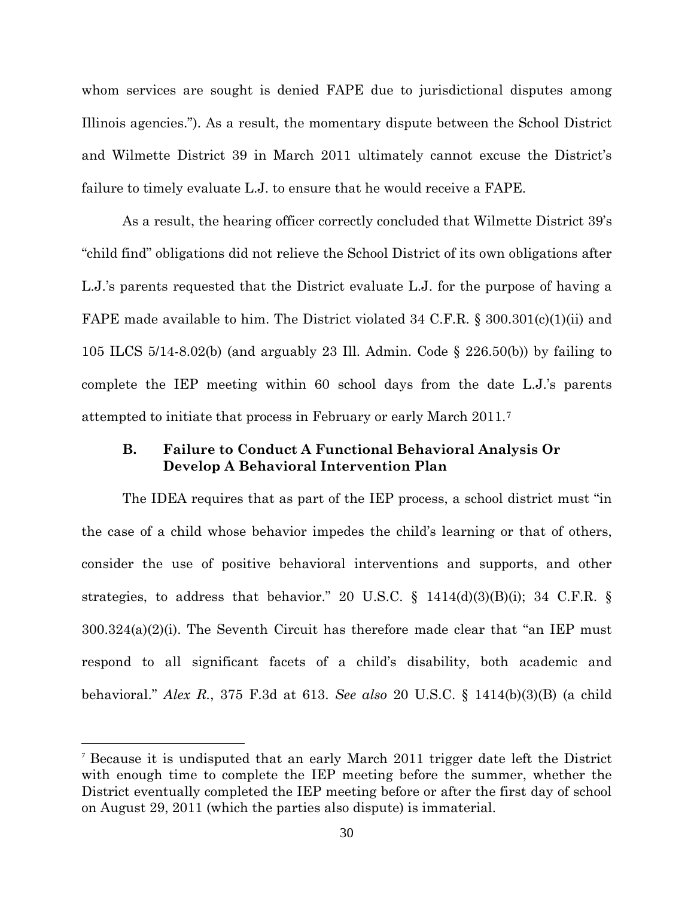whom services are sought is denied FAPE due to jurisdictional disputes among Illinois agencies."). As a result, the momentary dispute between the School District and Wilmette District 39 in March 2011 ultimately cannot excuse the District's failure to timely evaluate L.J. to ensure that he would receive a FAPE.

As a result, the hearing officer correctly concluded that Wilmette District 39's "child find" obligations did not relieve the School District of its own obligations after L.J.'s parents requested that the District evaluate L.J. for the purpose of having a FAPE made available to him. The District violated 34 C.F.R. § 300.301(c)(1)(ii) and 105 ILCS 5/14-8.02(b) (and arguably 23 Ill. Admin. Code § 226.50(b)) by failing to complete the IEP meeting within 60 school days from the date L.J.'s parents attempted to initiate that process in February or early March 2011.[7](#page-29-0)

# **B. Failure to Conduct A Functional Behavioral Analysis Or Develop A Behavioral Intervention Plan**

The IDEA requires that as part of the IEP process, a school district must "in the case of a child whose behavior impedes the child's learning or that of others, consider the use of positive behavioral interventions and supports, and other strategies, to address that behavior." 20 U.S.C.  $\S$  1414(d)(3)(B)(i); 34 C.F.R.  $\S$ 300.324(a)(2)(i). The Seventh Circuit has therefore made clear that "an IEP must respond to all significant facets of a child's disability, both academic and behavioral." *Alex R.*, 375 F.3d at 613. *See also* 20 U.S.C. § 1414(b)(3)(B) (a child

<u>.</u>

<span id="page-29-0"></span><sup>7</sup> Because it is undisputed that an early March 2011 trigger date left the District with enough time to complete the IEP meeting before the summer, whether the District eventually completed the IEP meeting before or after the first day of school on August 29, 2011 (which the parties also dispute) is immaterial.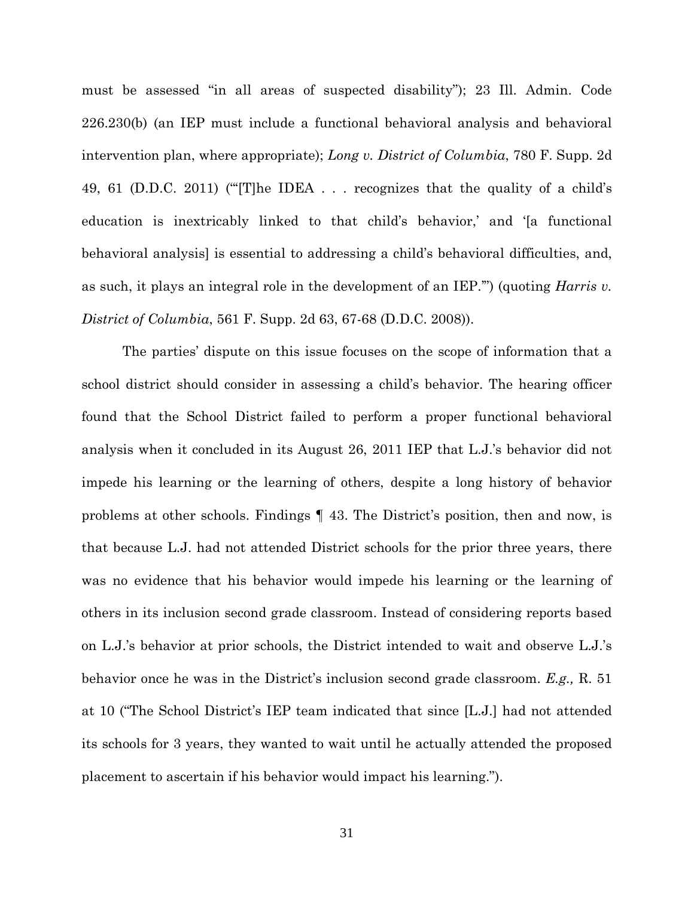must be assessed "in all areas of suspected disability"); 23 Ill. Admin. Code 226.230(b) (an IEP must include a functional behavioral analysis and behavioral intervention plan, where appropriate); *Long v. District of Columbia*, 780 F. Supp. 2d 49, 61 (D.D.C. 2011) ("'[T]he IDEA . . . recognizes that the quality of a child's education is inextricably linked to that child's behavior,' and '[a functional behavioral analysis] is essential to addressing a child's behavioral difficulties, and, as such, it plays an integral role in the development of an IEP.'") (quoting *Harris v. District of Columbia*, 561 F. Supp. 2d 63, 67-68 (D.D.C. 2008)).

The parties' dispute on this issue focuses on the scope of information that a school district should consider in assessing a child's behavior. The hearing officer found that the School District failed to perform a proper functional behavioral analysis when it concluded in its August 26, 2011 IEP that L.J.'s behavior did not impede his learning or the learning of others, despite a long history of behavior problems at other schools. Findings ¶ 43. The District's position, then and now, is that because L.J. had not attended District schools for the prior three years, there was no evidence that his behavior would impede his learning or the learning of others in its inclusion second grade classroom. Instead of considering reports based on L.J.'s behavior at prior schools, the District intended to wait and observe L.J.'s behavior once he was in the District's inclusion second grade classroom. *E.g.,* R. 51 at 10 ("The School District's IEP team indicated that since [L.J.] had not attended its schools for 3 years, they wanted to wait until he actually attended the proposed placement to ascertain if his behavior would impact his learning.").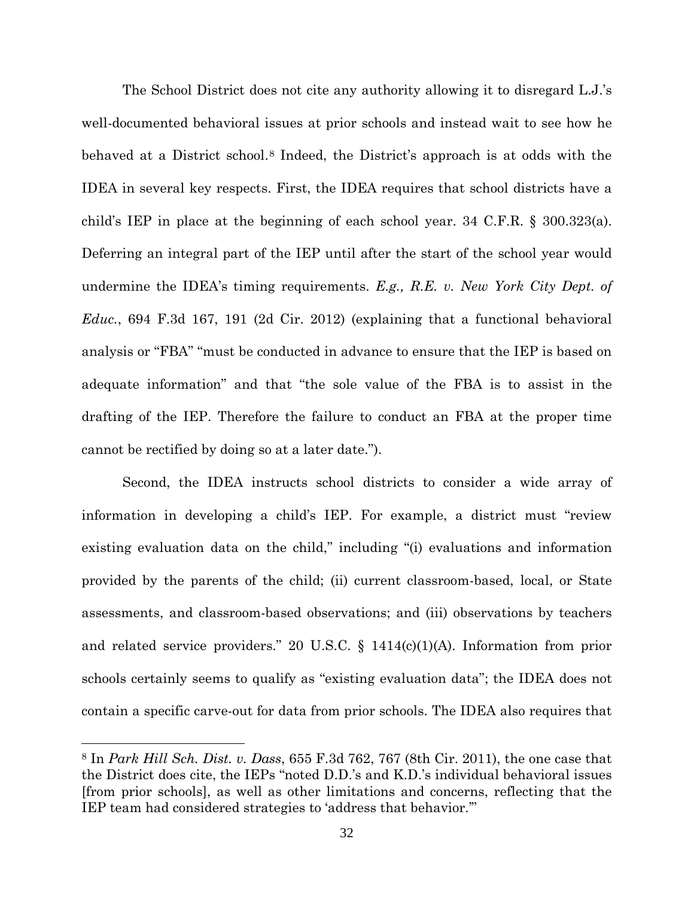The School District does not cite any authority allowing it to disregard L.J.'s well-documented behavioral issues at prior schools and instead wait to see how he behaved at a District school. [8](#page-31-0) Indeed, the District's approach is at odds with the IDEA in several key respects. First, the IDEA requires that school districts have a child's IEP in place at the beginning of each school year. 34 C.F.R. § 300.323(a). Deferring an integral part of the IEP until after the start of the school year would undermine the IDEA's timing requirements. *E.g., R.E. v. New York City Dept. of Educ.*, 694 F.3d 167, 191 (2d Cir. 2012) (explaining that a functional behavioral analysis or "FBA" "must be conducted in advance to ensure that the IEP is based on adequate information" and that "the sole value of the FBA is to assist in the drafting of the IEP. Therefore the failure to conduct an FBA at the proper time cannot be rectified by doing so at a later date.").

Second, the IDEA instructs school districts to consider a wide array of information in developing a child's IEP. For example, a district must "review existing evaluation data on the child," including "(i) evaluations and information provided by the parents of the child; (ii) current classroom-based, local, or State assessments, and classroom-based observations; and (iii) observations by teachers and related service providers." 20 U.S.C. § 1414(c)(1)(A). Information from prior schools certainly seems to qualify as "existing evaluation data"; the IDEA does not contain a specific carve-out for data from prior schools. The IDEA also requires that

 $\overline{a}$ 

<span id="page-31-0"></span><sup>8</sup> In *Park Hill Sch. Dist. v. Dass*, 655 F.3d 762, 767 (8th Cir. 2011), the one case that the District does cite, the IEPs "noted D.D.'s and K.D.'s individual behavioral issues [from prior schools], as well as other limitations and concerns, reflecting that the IEP team had considered strategies to 'address that behavior.'"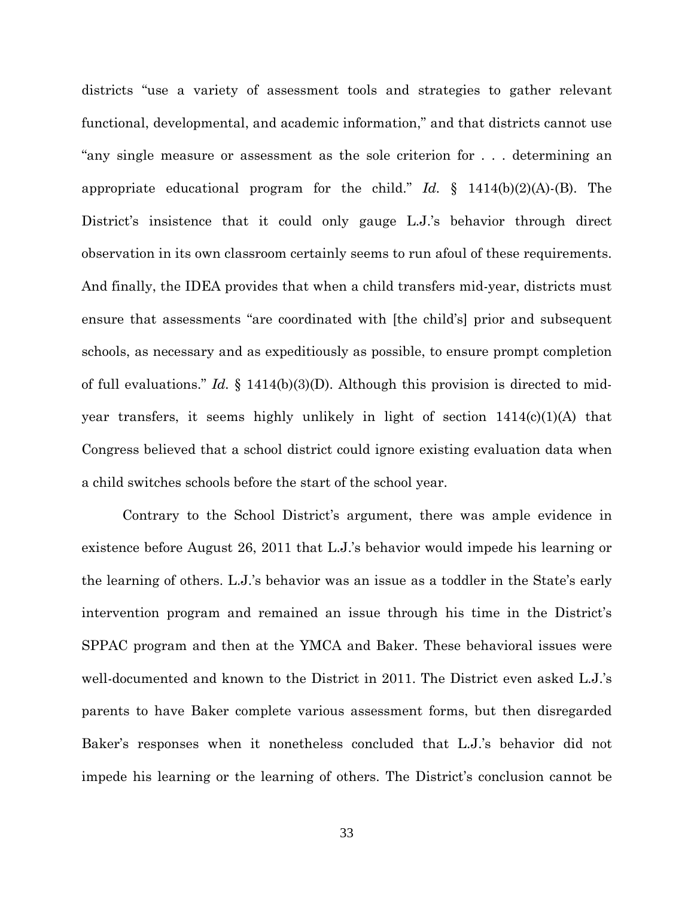districts "use a variety of assessment tools and strategies to gather relevant functional, developmental, and academic information," and that districts cannot use "any single measure or assessment as the sole criterion for . . . determining an appropriate educational program for the child." *Id.* § 1414(b)(2)(A)-(B). The District's insistence that it could only gauge L.J.'s behavior through direct observation in its own classroom certainly seems to run afoul of these requirements. And finally, the IDEA provides that when a child transfers mid-year, districts must ensure that assessments "are coordinated with [the child's] prior and subsequent schools, as necessary and as expeditiously as possible, to ensure prompt completion of full evaluations." *Id.* § 1414(b)(3)(D). Although this provision is directed to midyear transfers, it seems highly unlikely in light of section 1414(c)(1)(A) that Congress believed that a school district could ignore existing evaluation data when a child switches schools before the start of the school year.

Contrary to the School District's argument, there was ample evidence in existence before August 26, 2011 that L.J.'s behavior would impede his learning or the learning of others. L.J.'s behavior was an issue as a toddler in the State's early intervention program and remained an issue through his time in the District's SPPAC program and then at the YMCA and Baker. These behavioral issues were well-documented and known to the District in 2011. The District even asked L.J.'s parents to have Baker complete various assessment forms, but then disregarded Baker's responses when it nonetheless concluded that L.J.'s behavior did not impede his learning or the learning of others. The District's conclusion cannot be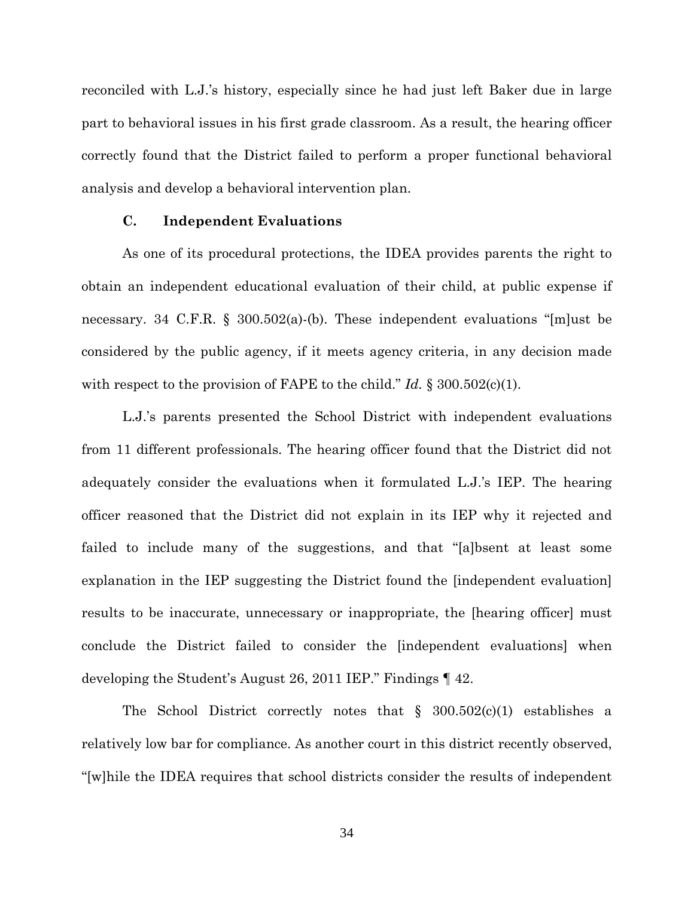reconciled with L.J.'s history, especially since he had just left Baker due in large part to behavioral issues in his first grade classroom. As a result, the hearing officer correctly found that the District failed to perform a proper functional behavioral analysis and develop a behavioral intervention plan.

#### **C. Independent Evaluations**

As one of its procedural protections, the IDEA provides parents the right to obtain an independent educational evaluation of their child, at public expense if necessary. 34 C.F.R. § 300.502(a)-(b). These independent evaluations "[m]ust be considered by the public agency, if it meets agency criteria, in any decision made with respect to the provision of FAPE to the child." *Id.* § 300.502(c)(1).

L.J.'s parents presented the School District with independent evaluations from 11 different professionals. The hearing officer found that the District did not adequately consider the evaluations when it formulated L.J.'s IEP. The hearing officer reasoned that the District did not explain in its IEP why it rejected and failed to include many of the suggestions, and that "[a]bsent at least some explanation in the IEP suggesting the District found the [independent evaluation] results to be inaccurate, unnecessary or inappropriate, the [hearing officer] must conclude the District failed to consider the [independent evaluations] when developing the Student's August 26, 2011 IEP." Findings ¶ 42.

The School District correctly notes that  $\S$  300.502(c)(1) establishes a relatively low bar for compliance. As another court in this district recently observed, "[w]hile the IDEA requires that school districts consider the results of independent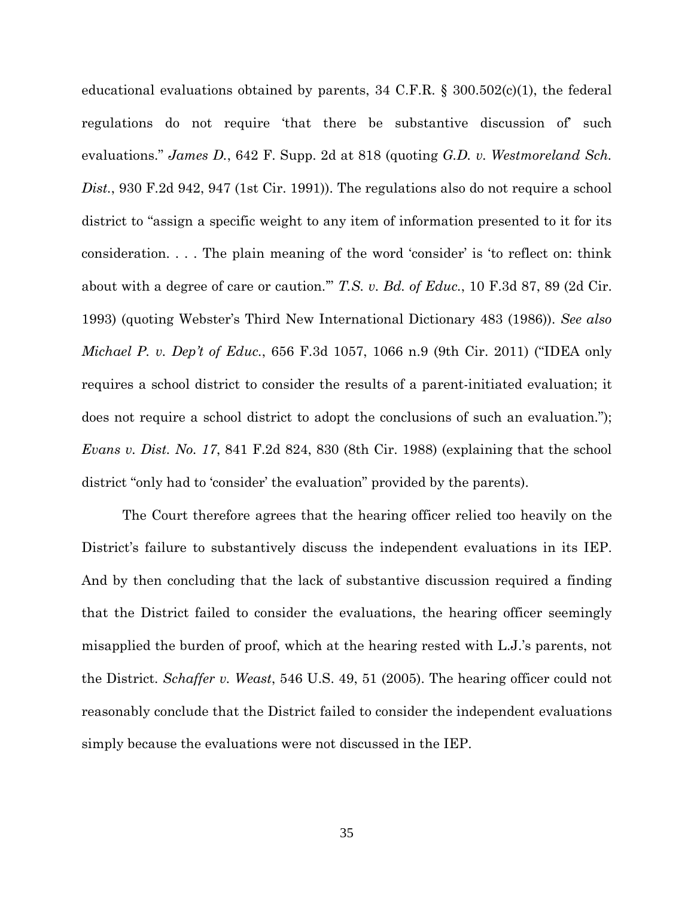educational evaluations obtained by parents, 34 C.F.R. § 300.502 $(c)(1)$ , the federal regulations do not require 'that there be substantive discussion of' such evaluations." *James D.*, 642 F. Supp. 2d at 818 (quoting *G.D. v. Westmoreland Sch. Dist.*, 930 F.2d 942, 947 (1st Cir. 1991)). The regulations also do not require a school district to "assign a specific weight to any item of information presented to it for its consideration. . . . The plain meaning of the word 'consider' is 'to reflect on: think about with a degree of care or caution.'" *T.S. v. Bd. of Educ.*, 10 F.3d 87, 89 (2d Cir. 1993) (quoting Webster's Third New International Dictionary 483 (1986)). *See also Michael P. v. Dep't of Educ.*, 656 F.3d 1057, 1066 n.9 (9th Cir. 2011) ("IDEA only requires a school district to consider the results of a parent-initiated evaluation; it does not require a school district to adopt the conclusions of such an evaluation."); *Evans v. Dist. No. 17*, 841 F.2d 824, 830 (8th Cir. 1988) (explaining that the school district "only had to 'consider' the evaluation" provided by the parents).

The Court therefore agrees that the hearing officer relied too heavily on the District's failure to substantively discuss the independent evaluations in its IEP. And by then concluding that the lack of substantive discussion required a finding that the District failed to consider the evaluations, the hearing officer seemingly misapplied the burden of proof, which at the hearing rested with L.J.'s parents, not the District. *Schaffer v. Weast*, 546 U.S. 49, 51 (2005). The hearing officer could not reasonably conclude that the District failed to consider the independent evaluations simply because the evaluations were not discussed in the IEP.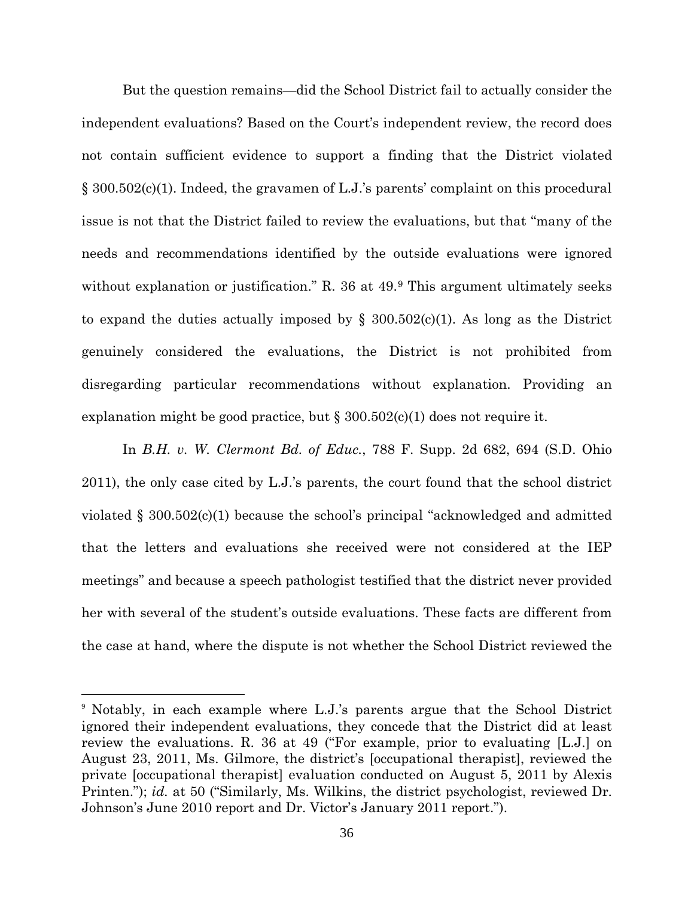But the question remains—did the School District fail to actually consider the independent evaluations? Based on the Court's independent review, the record does not contain sufficient evidence to support a finding that the District violated § 300.502(c)(1). Indeed, the gravamen of L.J.'s parents' complaint on this procedural issue is not that the District failed to review the evaluations, but that "many of the needs and recommendations identified by the outside evaluations were ignored without explanation or justification." R. 36 at 4[9](#page-35-0).<sup>9</sup> This argument ultimately seeks to expand the duties actually imposed by  $\S$  300.502(c)(1). As long as the District genuinely considered the evaluations, the District is not prohibited from disregarding particular recommendations without explanation. Providing an explanation might be good practice, but  $\S 300.502(c)(1)$  does not require it.

In *B.H. v. W. Clermont Bd. of Educ.*, 788 F. Supp. 2d 682, 694 (S.D. Ohio 2011), the only case cited by L.J.'s parents, the court found that the school district violated § 300.502(c)(1) because the school's principal "acknowledged and admitted that the letters and evaluations she received were not considered at the IEP meetings" and because a speech pathologist testified that the district never provided her with several of the student's outside evaluations. These facts are different from the case at hand, where the dispute is not whether the School District reviewed the

<u>.</u>

<span id="page-35-0"></span><sup>9</sup> Notably, in each example where L.J.'s parents argue that the School District ignored their independent evaluations, they concede that the District did at least review the evaluations. R. 36 at 49 ("For example, prior to evaluating [L.J.] on August 23, 2011, Ms. Gilmore, the district's [occupational therapist], reviewed the private [occupational therapist] evaluation conducted on August 5, 2011 by Alexis Printen."); *id.* at 50 ("Similarly, Ms. Wilkins, the district psychologist, reviewed Dr. Johnson's June 2010 report and Dr. Victor's January 2011 report.").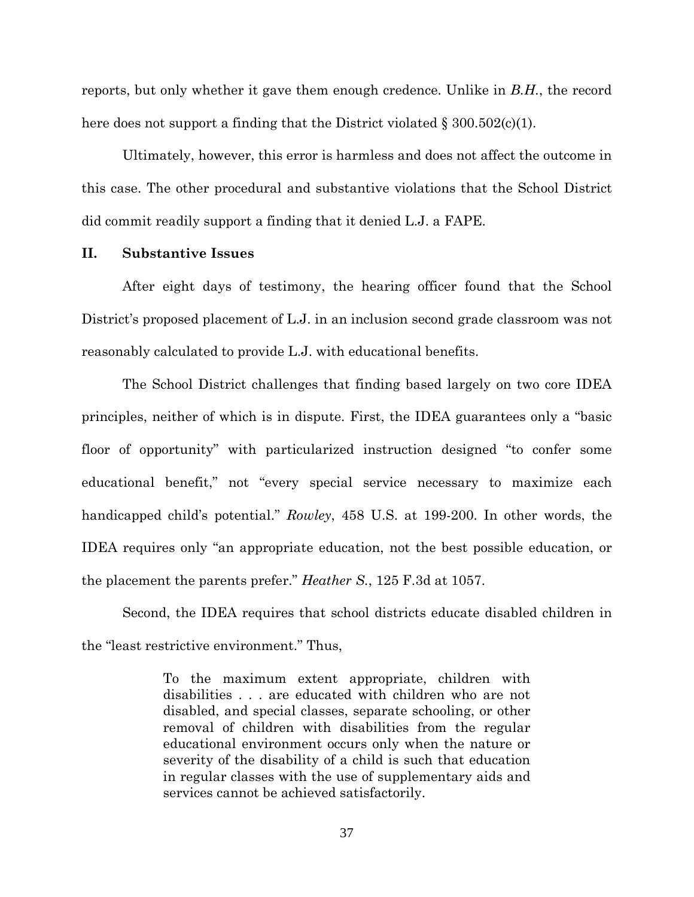reports, but only whether it gave them enough credence. Unlike in *B.H.*, the record here does not support a finding that the District violated  $\S 300.502(c)(1)$ .

Ultimately, however, this error is harmless and does not affect the outcome in this case. The other procedural and substantive violations that the School District did commit readily support a finding that it denied L.J. a FAPE.

#### **II. Substantive Issues**

After eight days of testimony, the hearing officer found that the School District's proposed placement of L.J. in an inclusion second grade classroom was not reasonably calculated to provide L.J. with educational benefits.

The School District challenges that finding based largely on two core IDEA principles, neither of which is in dispute. First, the IDEA guarantees only a "basic floor of opportunity" with particularized instruction designed "to confer some educational benefit," not "every special service necessary to maximize each handicapped child's potential." *Rowley*, 458 U.S. at 199-200. In other words, the IDEA requires only "an appropriate education, not the best possible education, or the placement the parents prefer." *Heather S.*, 125 F.3d at 1057.

Second, the IDEA requires that school districts educate disabled children in the "least restrictive environment." Thus,

> To the maximum extent appropriate, children with disabilities . . . are educated with children who are not disabled, and special classes, separate schooling, or other removal of children with disabilities from the regular educational environment occurs only when the nature or severity of the disability of a child is such that education in regular classes with the use of supplementary aids and services cannot be achieved satisfactorily.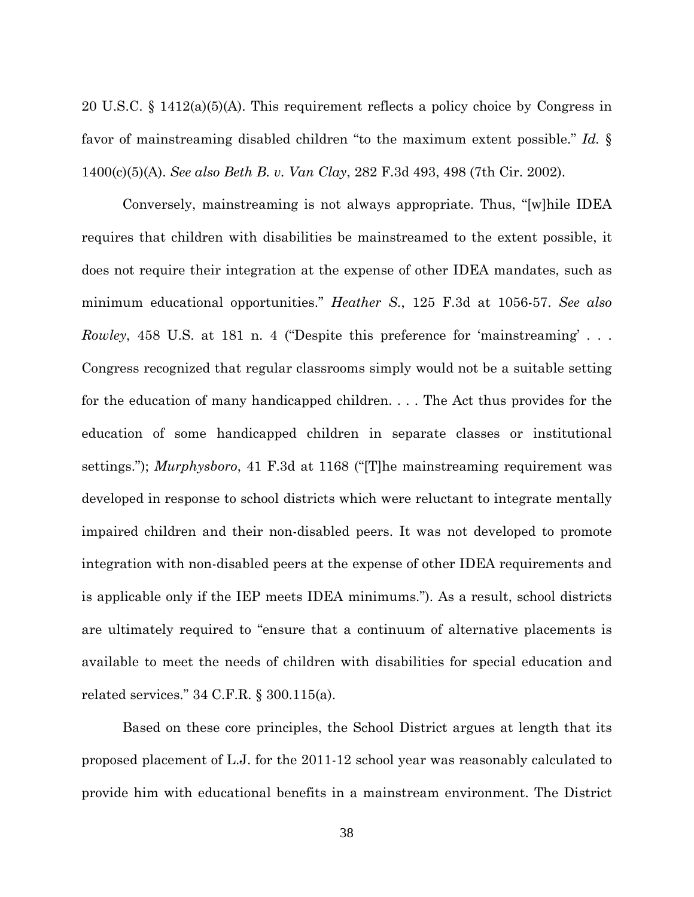20 U.S.C. § 1412(a)(5)(A). This requirement reflects a policy choice by Congress in favor of mainstreaming disabled children "to the maximum extent possible." *Id.* § 1400(c)(5)(A). *See also Beth B. v. Van Clay*, 282 F.3d 493, 498 (7th Cir. 2002).

 Conversely, mainstreaming is not always appropriate. Thus, "[w]hile IDEA requires that children with disabilities be mainstreamed to the extent possible, it does not require their integration at the expense of other IDEA mandates, such as minimum educational opportunities." *Heather S.*, 125 F.3d at 1056-57. *See also Rowley*, 458 U.S. at 181 n. 4 ("Despite this preference for 'mainstreaming' . . . Congress recognized that regular classrooms simply would not be a suitable setting for the education of many handicapped children. . . . The Act thus provides for the education of some handicapped children in separate classes or institutional settings."); *Murphysboro*, 41 F.3d at 1168 ("[T]he mainstreaming requirement was developed in response to school districts which were reluctant to integrate mentally impaired children and their non-disabled peers. It was not developed to promote integration with non-disabled peers at the expense of other IDEA requirements and is applicable only if the IEP meets IDEA minimums."). As a result, school districts are ultimately required to "ensure that a continuum of alternative placements is available to meet the needs of children with disabilities for special education and related services." 34 C.F.R. § 300.115(a).

Based on these core principles, the School District argues at length that its proposed placement of L.J. for the 2011-12 school year was reasonably calculated to provide him with educational benefits in a mainstream environment. The District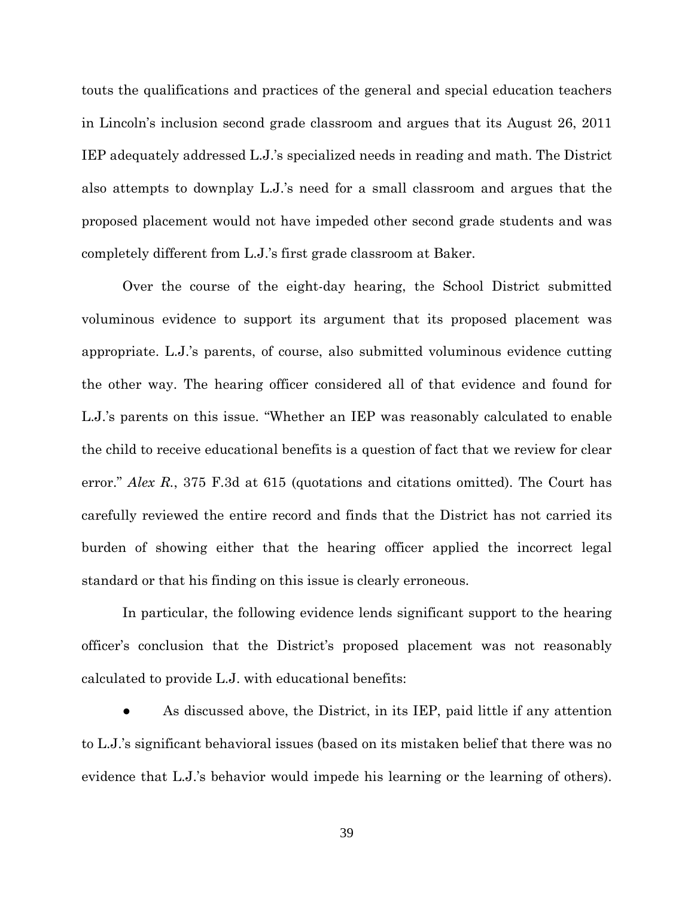touts the qualifications and practices of the general and special education teachers in Lincoln's inclusion second grade classroom and argues that its August 26, 2011 IEP adequately addressed L.J.'s specialized needs in reading and math. The District also attempts to downplay L.J.'s need for a small classroom and argues that the proposed placement would not have impeded other second grade students and was completely different from L.J.'s first grade classroom at Baker.

Over the course of the eight-day hearing, the School District submitted voluminous evidence to support its argument that its proposed placement was appropriate. L.J.'s parents, of course, also submitted voluminous evidence cutting the other way. The hearing officer considered all of that evidence and found for L.J.'s parents on this issue. "Whether an IEP was reasonably calculated to enable the child to receive educational benefits is a question of fact that we review for clear error." *Alex R.*, 375 F.3d at 615 (quotations and citations omitted). The Court has carefully reviewed the entire record and finds that the District has not carried its burden of showing either that the hearing officer applied the incorrect legal standard or that his finding on this issue is clearly erroneous.

In particular, the following evidence lends significant support to the hearing officer's conclusion that the District's proposed placement was not reasonably calculated to provide L.J. with educational benefits:

As discussed above, the District, in its IEP, paid little if any attention to L.J.'s significant behavioral issues (based on its mistaken belief that there was no evidence that L.J.'s behavior would impede his learning or the learning of others).

39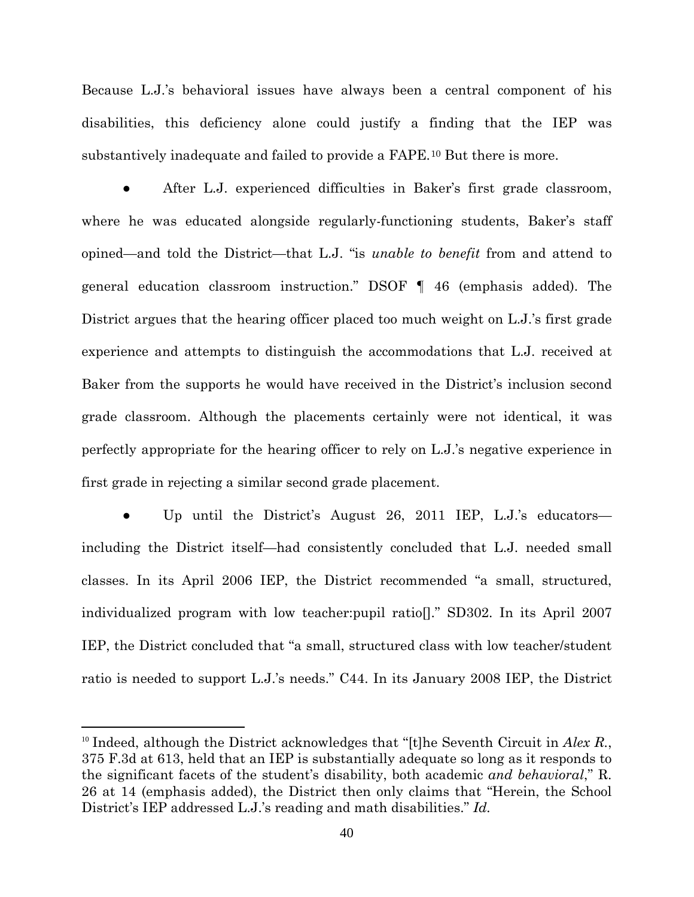Because L.J.'s behavioral issues have always been a central component of his disabilities, this deficiency alone could justify a finding that the IEP was substantively inadequate and failed to provide a FAPE. [10](#page-39-0) But there is more.

After L.J. experienced difficulties in Baker's first grade classroom, where he was educated alongside regularly-functioning students, Baker's staff opined—and told the District—that L.J. "is *unable to benefit* from and attend to general education classroom instruction." DSOF ¶ 46 (emphasis added). The District argues that the hearing officer placed too much weight on L.J.'s first grade experience and attempts to distinguish the accommodations that L.J. received at Baker from the supports he would have received in the District's inclusion second grade classroom. Although the placements certainly were not identical, it was perfectly appropriate for the hearing officer to rely on L.J.'s negative experience in first grade in rejecting a similar second grade placement.

Up until the District's August 26, 2011 IEP, L.J.'s educators including the District itself—had consistently concluded that L.J. needed small classes. In its April 2006 IEP, the District recommended "a small, structured, individualized program with low teacher:pupil ratio[]." SD302. In its April 2007 IEP, the District concluded that "a small, structured class with low teacher/student ratio is needed to support L.J.'s needs." C44. In its January 2008 IEP, the District

<u>.</u>

<span id="page-39-0"></span><sup>10</sup> Indeed, although the District acknowledges that "[t]he Seventh Circuit in *Alex R.*, 375 F.3d at 613, held that an IEP is substantially adequate so long as it responds to the significant facets of the student's disability, both academic *and behavioral*," R. 26 at 14 (emphasis added), the District then only claims that "Herein, the School District's IEP addressed L.J.'s reading and math disabilities." *Id.*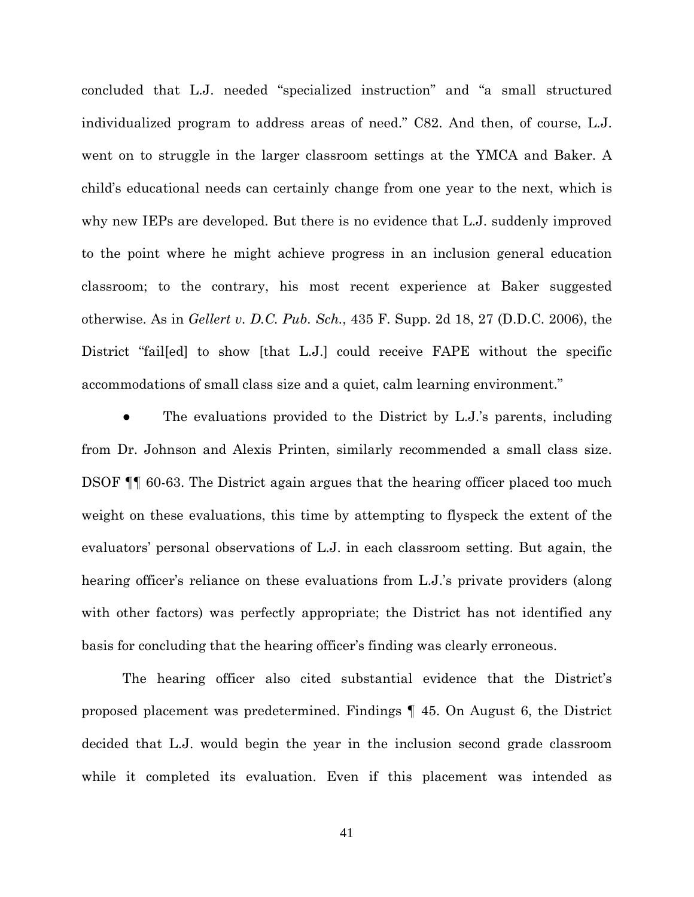concluded that L.J. needed "specialized instruction" and "a small structured individualized program to address areas of need." C82. And then, of course, L.J. went on to struggle in the larger classroom settings at the YMCA and Baker. A child's educational needs can certainly change from one year to the next, which is why new IEPs are developed. But there is no evidence that L.J. suddenly improved to the point where he might achieve progress in an inclusion general education classroom; to the contrary, his most recent experience at Baker suggested otherwise. As in *Gellert v. D.C. Pub. Sch.*, 435 F. Supp. 2d 18, 27 (D.D.C. 2006), the District "fail[ed] to show [that L.J.] could receive FAPE without the specific accommodations of small class size and a quiet, calm learning environment."

The evaluations provided to the District by L.J.'s parents, including from Dr. Johnson and Alexis Printen, similarly recommended a small class size. DSOF ¶¶ 60-63. The District again argues that the hearing officer placed too much weight on these evaluations, this time by attempting to flyspeck the extent of the evaluators' personal observations of L.J. in each classroom setting. But again, the hearing officer's reliance on these evaluations from L.J.'s private providers (along with other factors) was perfectly appropriate; the District has not identified any basis for concluding that the hearing officer's finding was clearly erroneous.

The hearing officer also cited substantial evidence that the District's proposed placement was predetermined. Findings ¶ 45. On August 6, the District decided that L.J. would begin the year in the inclusion second grade classroom while it completed its evaluation. Even if this placement was intended as

41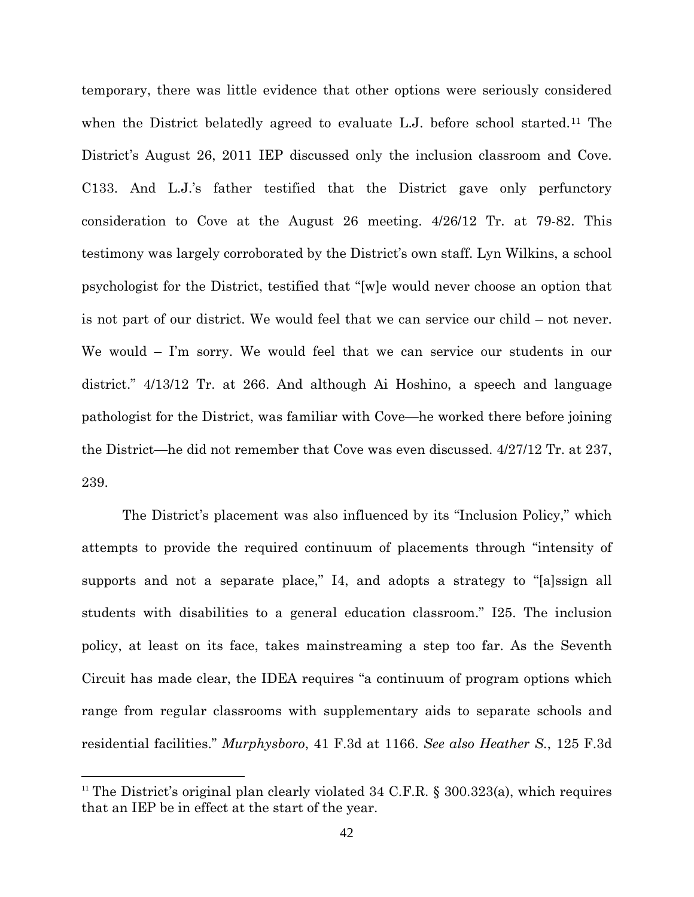temporary, there was little evidence that other options were seriously considered when the District belatedly agreed to evaluate L.J. before school started. [11](#page-41-0) The District's August 26, 2011 IEP discussed only the inclusion classroom and Cove. C133. And L.J.'s father testified that the District gave only perfunctory consideration to Cove at the August 26 meeting. 4/26/12 Tr. at 79-82. This testimony was largely corroborated by the District's own staff. Lyn Wilkins, a school psychologist for the District, testified that "[w]e would never choose an option that is not part of our district. We would feel that we can service our child – not never. We would – I'm sorry. We would feel that we can service our students in our district." 4/13/12 Tr. at 266. And although Ai Hoshino, a speech and language pathologist for the District, was familiar with Cove—he worked there before joining the District—he did not remember that Cove was even discussed. 4/27/12 Tr. at 237, 239.

The District's placement was also influenced by its "Inclusion Policy," which attempts to provide the required continuum of placements through "intensity of supports and not a separate place," I4, and adopts a strategy to "[a]ssign all students with disabilities to a general education classroom." I25. The inclusion policy, at least on its face, takes mainstreaming a step too far. As the Seventh Circuit has made clear, the IDEA requires "a continuum of program options which range from regular classrooms with supplementary aids to separate schools and residential facilities." *Murphysboro*, 41 F.3d at 1166. *See also Heather S.*, 125 F.3d

<u>.</u>

<span id="page-41-0"></span><sup>&</sup>lt;sup>11</sup> The District's original plan clearly violated 34 C.F.R.  $\S$  300.323(a), which requires that an IEP be in effect at the start of the year.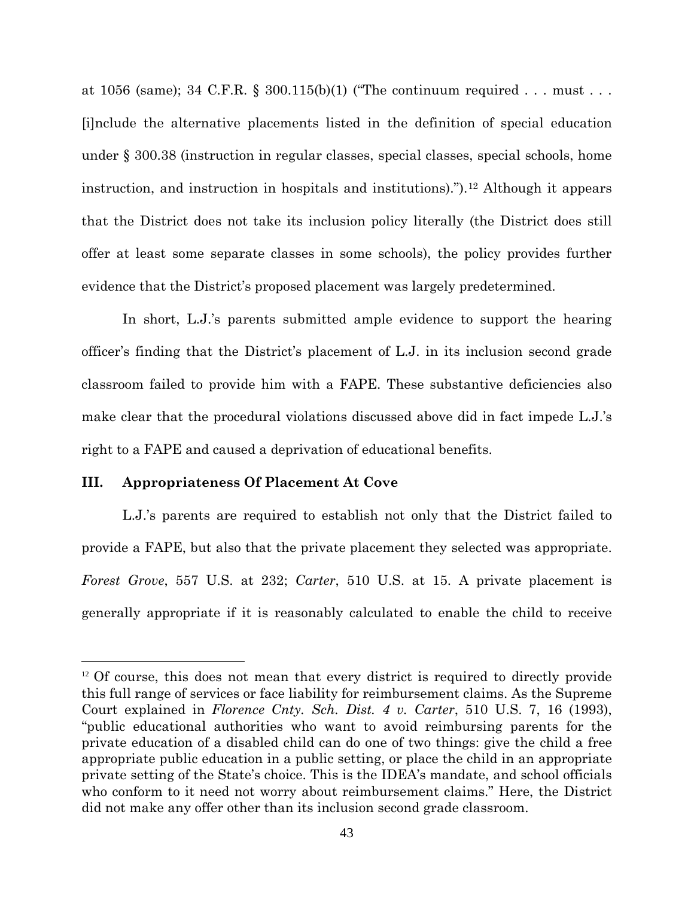at 1056 (same); 34 C.F.R. § 300.115(b)(1) ("The continuum required . . . must . . . [i]nclude the alternative placements listed in the definition of special education under § 300.38 (instruction in regular classes, special classes, special schools, home instruction, and instruction in hospitals and institutions).").[12](#page-42-0) Although it appears that the District does not take its inclusion policy literally (the District does still offer at least some separate classes in some schools), the policy provides further evidence that the District's proposed placement was largely predetermined.

In short, L.J.'s parents submitted ample evidence to support the hearing officer's finding that the District's placement of L.J. in its inclusion second grade classroom failed to provide him with a FAPE. These substantive deficiencies also make clear that the procedural violations discussed above did in fact impede L.J.'s right to a FAPE and caused a deprivation of educational benefits.

## **III. Appropriateness Of Placement At Cove**

 $\overline{a}$ 

L.J.'s parents are required to establish not only that the District failed to provide a FAPE, but also that the private placement they selected was appropriate. *Forest Grove*, 557 U.S. at 232; *Carter*, 510 U.S. at 15. A private placement is generally appropriate if it is reasonably calculated to enable the child to receive

<span id="page-42-0"></span><sup>&</sup>lt;sup>12</sup> Of course, this does not mean that every district is required to directly provide this full range of services or face liability for reimbursement claims. As the Supreme Court explained in *Florence Cnty. Sch. Dist. 4 v. Carter*, 510 U.S. 7, 16 (1993), "public educational authorities who want to avoid reimbursing parents for the private education of a disabled child can do one of two things: give the child a free appropriate public education in a public setting, or place the child in an appropriate private setting of the State's choice. This is the IDEA's mandate, and school officials who conform to it need not worry about reimbursement claims." Here, the District did not make any offer other than its inclusion second grade classroom.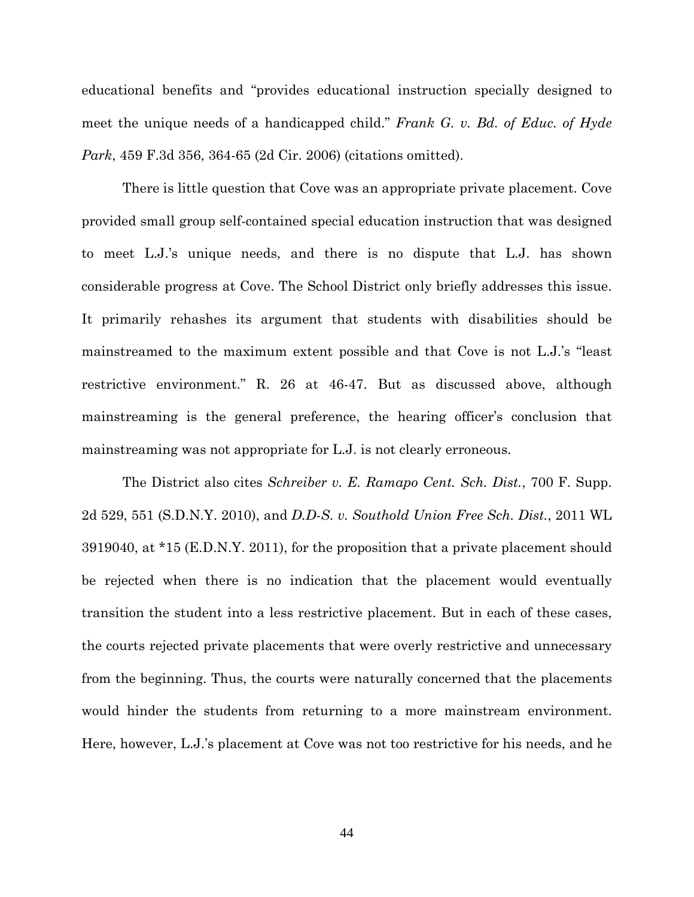educational benefits and "provides educational instruction specially designed to meet the unique needs of a handicapped child." *Frank G. v. Bd. of Educ. of Hyde Park*, 459 F.3d 356, 364-65 (2d Cir. 2006) (citations omitted).

There is little question that Cove was an appropriate private placement. Cove provided small group self-contained special education instruction that was designed to meet L.J.'s unique needs, and there is no dispute that L.J. has shown considerable progress at Cove. The School District only briefly addresses this issue. It primarily rehashes its argument that students with disabilities should be mainstreamed to the maximum extent possible and that Cove is not L.J.'s "least restrictive environment." R. 26 at 46-47. But as discussed above, although mainstreaming is the general preference, the hearing officer's conclusion that mainstreaming was not appropriate for L.J. is not clearly erroneous.

The District also cites *Schreiber v. E. Ramapo Cent. Sch. Dist.*, 700 F. Supp. 2d 529, 551 (S.D.N.Y. 2010), and *D.D-S. v. Southold Union Free Sch. Dist.*, 2011 WL 3919040, at \*15 (E.D.N.Y. 2011), for the proposition that a private placement should be rejected when there is no indication that the placement would eventually transition the student into a less restrictive placement. But in each of these cases, the courts rejected private placements that were overly restrictive and unnecessary from the beginning. Thus, the courts were naturally concerned that the placements would hinder the students from returning to a more mainstream environment. Here, however, L.J.'s placement at Cove was not too restrictive for his needs, and he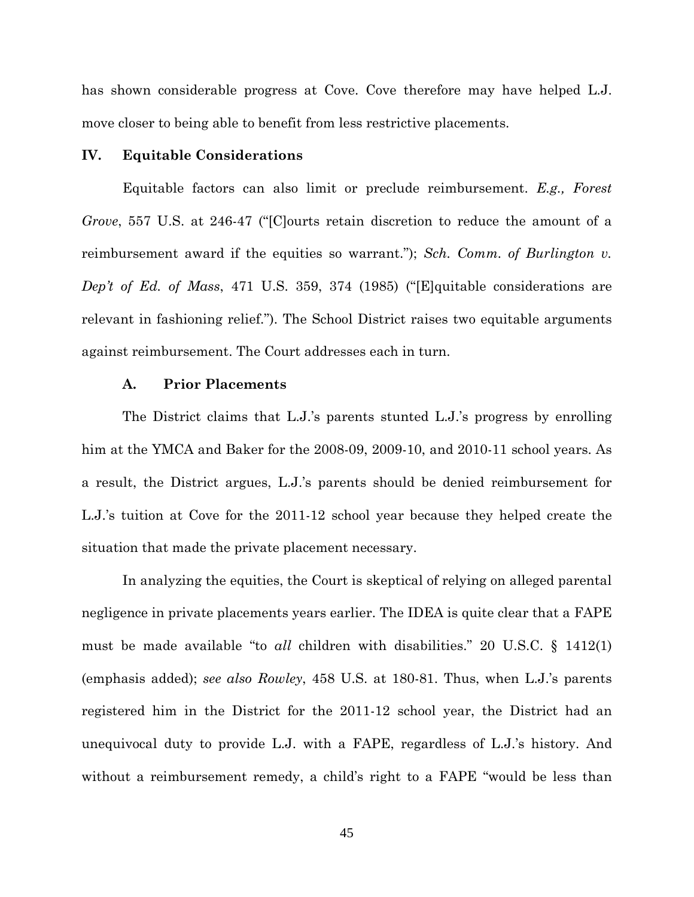has shown considerable progress at Cove. Cove therefore may have helped L.J. move closer to being able to benefit from less restrictive placements.

#### **IV. Equitable Considerations**

Equitable factors can also limit or preclude reimbursement. *E.g., Forest Grove*, 557 U.S. at 246-47 ("[C]ourts retain discretion to reduce the amount of a reimbursement award if the equities so warrant."); *Sch. Comm. of Burlington v. Dep't of Ed. of Mass*, 471 U.S. 359, 374 (1985) ("[E]quitable considerations are relevant in fashioning relief."). The School District raises two equitable arguments against reimbursement. The Court addresses each in turn.

### **A. Prior Placements**

 The District claims that L.J.'s parents stunted L.J.'s progress by enrolling him at the YMCA and Baker for the 2008-09, 2009-10, and 2010-11 school years. As a result, the District argues, L.J.'s parents should be denied reimbursement for L.J.'s tuition at Cove for the 2011-12 school year because they helped create the situation that made the private placement necessary.

In analyzing the equities, the Court is skeptical of relying on alleged parental negligence in private placements years earlier. The IDEA is quite clear that a FAPE must be made available "to *all* children with disabilities." 20 U.S.C. § 1412(1) (emphasis added); *see also Rowley*, 458 U.S. at 180-81. Thus, when L.J.'s parents registered him in the District for the 2011-12 school year, the District had an unequivocal duty to provide L.J. with a FAPE, regardless of L.J.'s history. And without a reimbursement remedy, a child's right to a FAPE "would be less than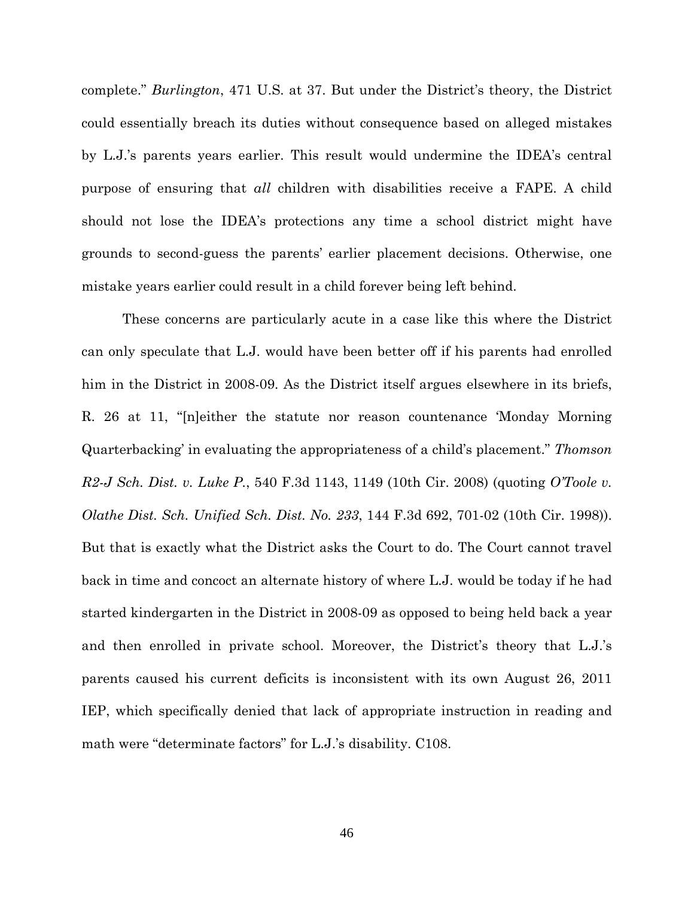complete." *Burlington*, 471 U.S. at 37. But under the District's theory, the District could essentially breach its duties without consequence based on alleged mistakes by L.J.'s parents years earlier. This result would undermine the IDEA's central purpose of ensuring that *all* children with disabilities receive a FAPE. A child should not lose the IDEA's protections any time a school district might have grounds to second-guess the parents' earlier placement decisions. Otherwise, one mistake years earlier could result in a child forever being left behind.

These concerns are particularly acute in a case like this where the District can only speculate that L.J. would have been better off if his parents had enrolled him in the District in 2008-09. As the District itself argues elsewhere in its briefs, R. 26 at 11, "[n]either the statute nor reason countenance 'Monday Morning Quarterbacking' in evaluating the appropriateness of a child's placement." *Thomson R2-J Sch. Dist. v. Luke P.*, 540 F.3d 1143, 1149 (10th Cir. 2008) (quoting *O'Toole v. Olathe Dist. Sch. Unified Sch. Dist. No. 233*, 144 F.3d 692, 701-02 (10th Cir. 1998)). But that is exactly what the District asks the Court to do. The Court cannot travel back in time and concoct an alternate history of where L.J. would be today if he had started kindergarten in the District in 2008-09 as opposed to being held back a year and then enrolled in private school. Moreover, the District's theory that L.J.'s parents caused his current deficits is inconsistent with its own August 26, 2011 IEP, which specifically denied that lack of appropriate instruction in reading and math were "determinate factors" for L.J.'s disability. C108.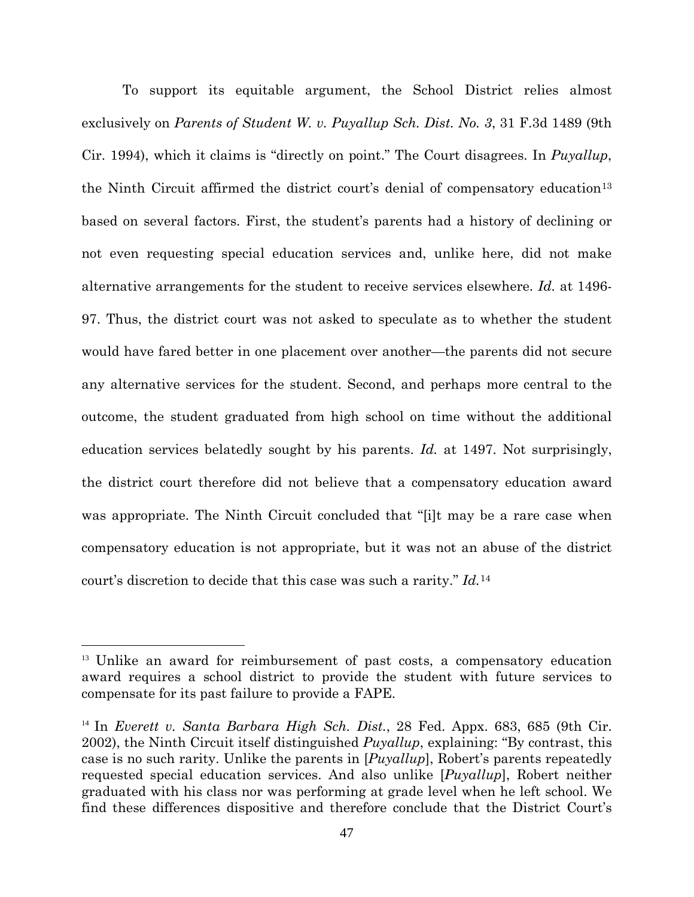To support its equitable argument, the School District relies almost exclusively on *Parents of Student W. v. Puyallup Sch. Dist. No. 3*, 31 F.3d 1489 (9th Cir. 1994), which it claims is "directly on point." The Court disagrees. In *Puyallup*, the Ninth Circuit affirmed the district court's denial of compensatory education<sup>[13](#page-46-0)</sup> based on several factors. First, the student's parents had a history of declining or not even requesting special education services and, unlike here, did not make alternative arrangements for the student to receive services elsewhere. *Id.* at 1496- 97. Thus, the district court was not asked to speculate as to whether the student would have fared better in one placement over another—the parents did not secure any alternative services for the student. Second, and perhaps more central to the outcome, the student graduated from high school on time without the additional education services belatedly sought by his parents. *Id.* at 1497. Not surprisingly, the district court therefore did not believe that a compensatory education award was appropriate. The Ninth Circuit concluded that "[i]t may be a rare case when compensatory education is not appropriate, but it was not an abuse of the district court's discretion to decide that this case was such a rarity." *Id.*[14](#page-46-1)

<u>.</u>

<span id="page-46-0"></span><sup>&</sup>lt;sup>13</sup> Unlike an award for reimbursement of past costs, a compensatory education award requires a school district to provide the student with future services to compensate for its past failure to provide a FAPE.

<span id="page-46-1"></span><sup>14</sup> In *Everett v. Santa Barbara High Sch. Dist.*, 28 Fed. Appx. 683, 685 (9th Cir. 2002), the Ninth Circuit itself distinguished *Puyallup*, explaining: "By contrast, this case is no such rarity. Unlike the parents in [*Puyallup*], Robert's parents repeatedly requested special education services. And also unlike [*Puyallup*], Robert neither graduated with his class nor was performing at grade level when he left school. We find these differences dispositive and therefore conclude that the District Court's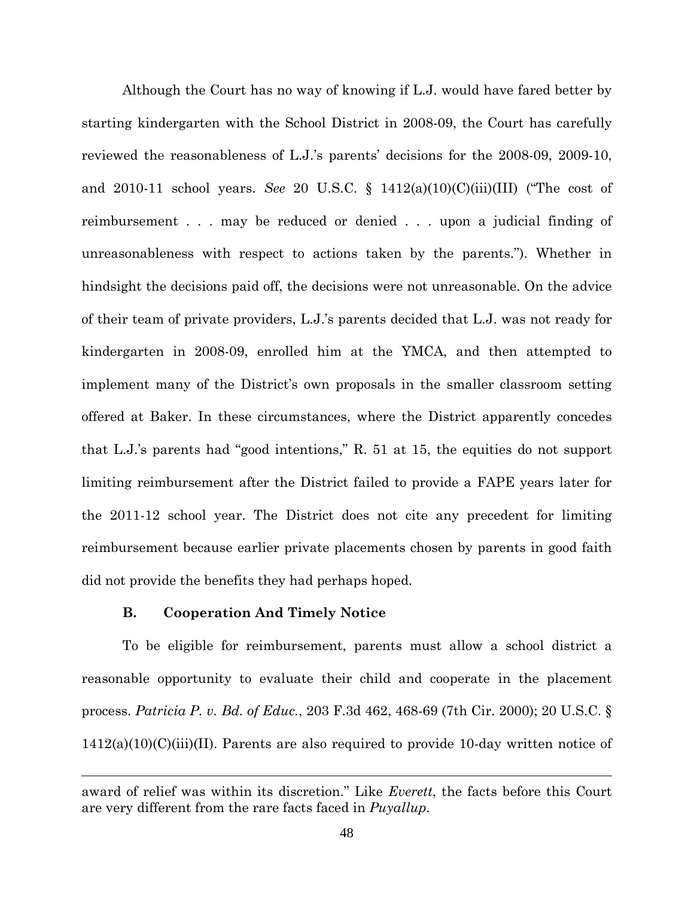Although the Court has no way of knowing if L.J. would have fared better by starting kindergarten with the School District in 2008-09, the Court has carefully reviewed the reasonableness of L.J.'s parents' decisions for the 2008-09, 2009-10, and 2010-11 school years. *See* 20 U.S.C. § 1412(a)(10)(C)(iii)(III) ("The cost of reimbursement . . . may be reduced or denied . . . upon a judicial finding of unreasonableness with respect to actions taken by the parents."). Whether in hindsight the decisions paid off, the decisions were not unreasonable. On the advice of their team of private providers, L.J.'s parents decided that L.J. was not ready for kindergarten in 2008-09, enrolled him at the YMCA, and then attempted to implement many of the District's own proposals in the smaller classroom setting offered at Baker. In these circumstances, where the District apparently concedes that L.J.'s parents had "good intentions," R. 51 at 15, the equities do not support limiting reimbursement after the District failed to provide a FAPE years later for the 2011-12 school year. The District does not cite any precedent for limiting reimbursement because earlier private placements chosen by parents in good faith did not provide the benefits they had perhaps hoped.

# **B. Cooperation And Timely Notice**

 $\overline{a}$ 

 To be eligible for reimbursement, parents must allow a school district a reasonable opportunity to evaluate their child and cooperate in the placement process. *Patricia P. v. Bd. of Educ.*, 203 F.3d 462, 468-69 (7th Cir. 2000); 20 U.S.C. §  $1412(a)(10)(C(iii)(II)$ . Parents are also required to provide 10-day written notice of

award of relief was within its discretion." Like *Everett*, the facts before this Court are very different from the rare facts faced in *Puyallup*.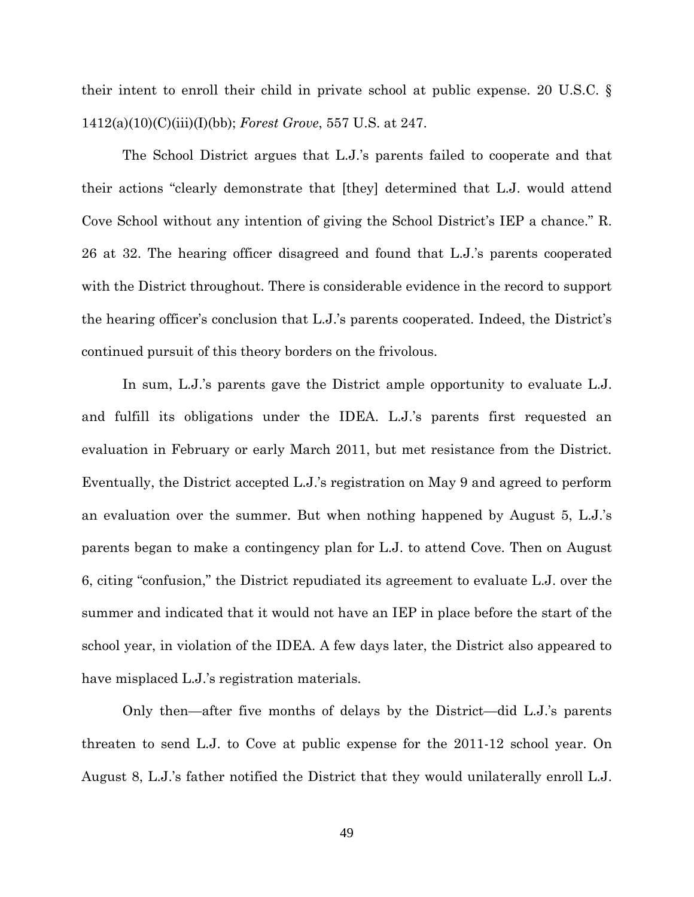their intent to enroll their child in private school at public expense. 20 U.S.C. § 1412(a)(10)(C)(iii)(I)(bb); *Forest Grove*, 557 U.S. at 247.

The School District argues that L.J.'s parents failed to cooperate and that their actions "clearly demonstrate that [they] determined that L.J. would attend Cove School without any intention of giving the School District's IEP a chance." R. 26 at 32. The hearing officer disagreed and found that L.J.'s parents cooperated with the District throughout. There is considerable evidence in the record to support the hearing officer's conclusion that L.J.'s parents cooperated. Indeed, the District's continued pursuit of this theory borders on the frivolous.

In sum, L.J.'s parents gave the District ample opportunity to evaluate L.J. and fulfill its obligations under the IDEA. L.J.'s parents first requested an evaluation in February or early March 2011, but met resistance from the District. Eventually, the District accepted L.J.'s registration on May 9 and agreed to perform an evaluation over the summer. But when nothing happened by August 5, L.J.'s parents began to make a contingency plan for L.J. to attend Cove. Then on August 6, citing "confusion," the District repudiated its agreement to evaluate L.J. over the summer and indicated that it would not have an IEP in place before the start of the school year, in violation of the IDEA. A few days later, the District also appeared to have misplaced L.J.'s registration materials.

Only then—after five months of delays by the District—did L.J.'s parents threaten to send L.J. to Cove at public expense for the 2011-12 school year. On August 8, L.J.'s father notified the District that they would unilaterally enroll L.J.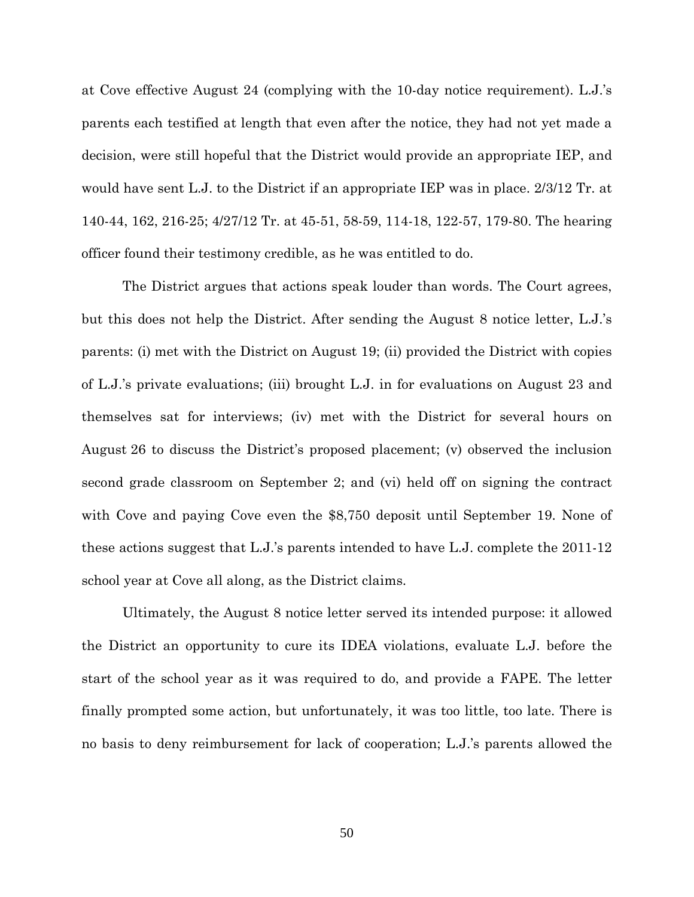at Cove effective August 24 (complying with the 10-day notice requirement). L.J.'s parents each testified at length that even after the notice, they had not yet made a decision, were still hopeful that the District would provide an appropriate IEP, and would have sent L.J. to the District if an appropriate IEP was in place. 2/3/12 Tr. at 140-44, 162, 216-25; 4/27/12 Tr. at 45-51, 58-59, 114-18, 122-57, 179-80. The hearing officer found their testimony credible, as he was entitled to do.

The District argues that actions speak louder than words. The Court agrees, but this does not help the District. After sending the August 8 notice letter, L.J.'s parents: (i) met with the District on August 19; (ii) provided the District with copies of L.J.'s private evaluations; (iii) brought L.J. in for evaluations on August 23 and themselves sat for interviews; (iv) met with the District for several hours on August 26 to discuss the District's proposed placement; (v) observed the inclusion second grade classroom on September 2; and (vi) held off on signing the contract with Cove and paying Cove even the \$8,750 deposit until September 19. None of these actions suggest that L.J.'s parents intended to have L.J. complete the 2011-12 school year at Cove all along, as the District claims.

Ultimately, the August 8 notice letter served its intended purpose: it allowed the District an opportunity to cure its IDEA violations, evaluate L.J. before the start of the school year as it was required to do, and provide a FAPE. The letter finally prompted some action, but unfortunately, it was too little, too late. There is no basis to deny reimbursement for lack of cooperation; L.J.'s parents allowed the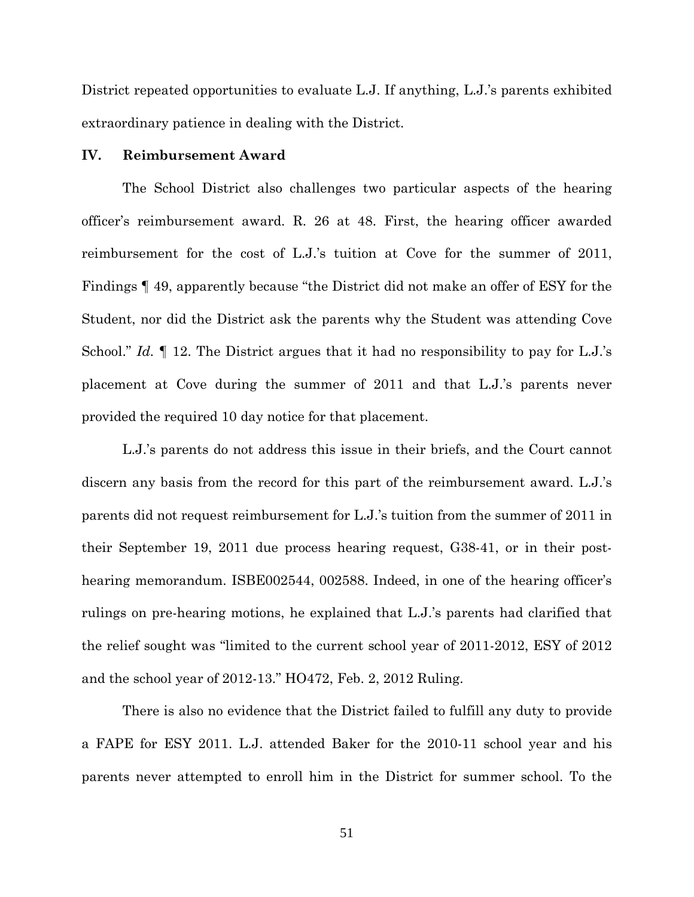District repeated opportunities to evaluate L.J. If anything, L.J.'s parents exhibited extraordinary patience in dealing with the District.

## **IV. Reimbursement Award**

The School District also challenges two particular aspects of the hearing officer's reimbursement award. R. 26 at 48. First, the hearing officer awarded reimbursement for the cost of L.J.'s tuition at Cove for the summer of 2011, Findings ¶ 49, apparently because "the District did not make an offer of ESY for the Student, nor did the District ask the parents why the Student was attending Cove School." *Id.* ¶ 12. The District argues that it had no responsibility to pay for L.J.'s placement at Cove during the summer of 2011 and that L.J.'s parents never provided the required 10 day notice for that placement.

L.J.'s parents do not address this issue in their briefs, and the Court cannot discern any basis from the record for this part of the reimbursement award. L.J.'s parents did not request reimbursement for L.J.'s tuition from the summer of 2011 in their September 19, 2011 due process hearing request, G38-41, or in their posthearing memorandum. ISBE002544, 002588. Indeed, in one of the hearing officer's rulings on pre-hearing motions, he explained that L.J.'s parents had clarified that the relief sought was "limited to the current school year of 2011-2012, ESY of 2012 and the school year of 2012-13." HO472, Feb. 2, 2012 Ruling.

 There is also no evidence that the District failed to fulfill any duty to provide a FAPE for ESY 2011. L.J. attended Baker for the 2010-11 school year and his parents never attempted to enroll him in the District for summer school. To the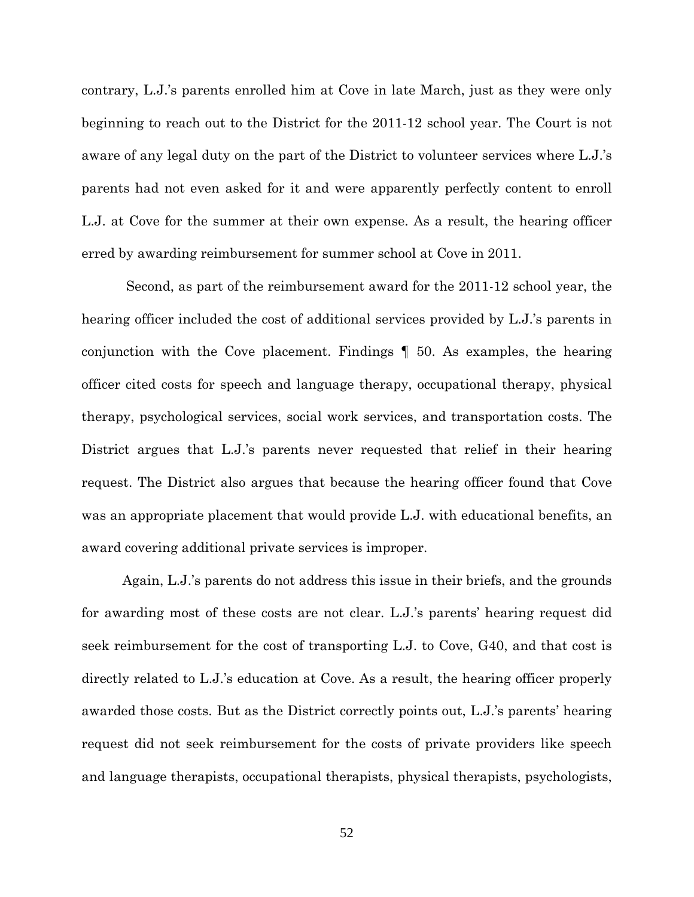contrary, L.J.'s parents enrolled him at Cove in late March, just as they were only beginning to reach out to the District for the 2011-12 school year. The Court is not aware of any legal duty on the part of the District to volunteer services where L.J.'s parents had not even asked for it and were apparently perfectly content to enroll L.J. at Cove for the summer at their own expense. As a result, the hearing officer erred by awarding reimbursement for summer school at Cove in 2011.

 Second, as part of the reimbursement award for the 2011-12 school year, the hearing officer included the cost of additional services provided by L.J.'s parents in conjunction with the Cove placement. Findings ¶ 50. As examples, the hearing officer cited costs for speech and language therapy, occupational therapy, physical therapy, psychological services, social work services, and transportation costs. The District argues that L.J.'s parents never requested that relief in their hearing request. The District also argues that because the hearing officer found that Cove was an appropriate placement that would provide L.J. with educational benefits, an award covering additional private services is improper.

Again, L.J.'s parents do not address this issue in their briefs, and the grounds for awarding most of these costs are not clear. L.J.'s parents' hearing request did seek reimbursement for the cost of transporting L.J. to Cove, G40, and that cost is directly related to L.J.'s education at Cove. As a result, the hearing officer properly awarded those costs. But as the District correctly points out, L.J.'s parents' hearing request did not seek reimbursement for the costs of private providers like speech and language therapists, occupational therapists, physical therapists, psychologists,